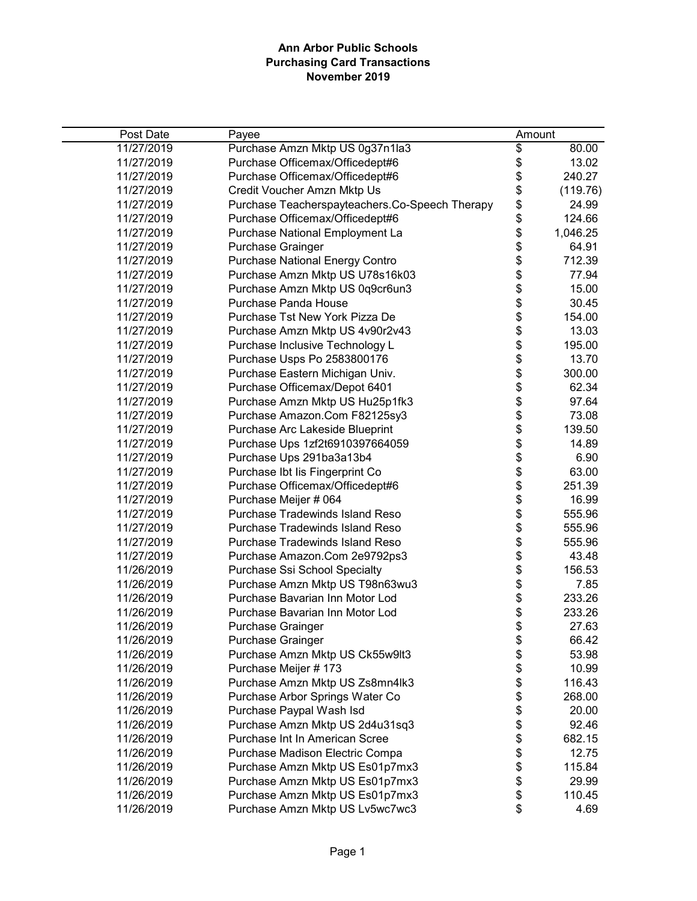| Post Date  | Payee                                          | Amount |          |
|------------|------------------------------------------------|--------|----------|
| 11/27/2019 | Purchase Amzn Mktp US 0g37n1la3                | \$     | 80.00    |
| 11/27/2019 | Purchase Officemax/Officedept#6                | \$     | 13.02    |
| 11/27/2019 | Purchase Officemax/Officedept#6                | \$     | 240.27   |
| 11/27/2019 | Credit Voucher Amzn Mktp Us                    | \$     | (119.76) |
| 11/27/2019 | Purchase Teacherspayteachers.Co-Speech Therapy | \$     | 24.99    |
| 11/27/2019 | Purchase Officemax/Officedept#6                | \$     | 124.66   |
| 11/27/2019 | Purchase National Employment La                | \$     | 1,046.25 |
| 11/27/2019 | <b>Purchase Grainger</b>                       | \$     | 64.91    |
| 11/27/2019 | <b>Purchase National Energy Contro</b>         | \$     | 712.39   |
| 11/27/2019 | Purchase Amzn Mktp US U78s16k03                | \$     | 77.94    |
| 11/27/2019 | Purchase Amzn Mktp US 0q9cr6un3                | \$     | 15.00    |
| 11/27/2019 | <b>Purchase Panda House</b>                    | \$     | 30.45    |
| 11/27/2019 | Purchase Tst New York Pizza De                 | \$     | 154.00   |
| 11/27/2019 | Purchase Amzn Mktp US 4v90r2v43                | \$     | 13.03    |
| 11/27/2019 | Purchase Inclusive Technology L                | \$     | 195.00   |
| 11/27/2019 | Purchase Usps Po 2583800176                    | \$     | 13.70    |
| 11/27/2019 | Purchase Eastern Michigan Univ.                | \$     | 300.00   |
| 11/27/2019 | Purchase Officemax/Depot 6401                  | \$     | 62.34    |
| 11/27/2019 | Purchase Amzn Mktp US Hu25p1fk3                | \$     | 97.64    |
| 11/27/2019 | Purchase Amazon.Com F82125sy3                  | \$     | 73.08    |
| 11/27/2019 | Purchase Arc Lakeside Blueprint                | \$     | 139.50   |
| 11/27/2019 | Purchase Ups 1zf2t6910397664059                | \$     | 14.89    |
| 11/27/2019 | Purchase Ups 291ba3a13b4                       | \$     | 6.90     |
| 11/27/2019 | Purchase Ibt lis Fingerprint Co                | \$     | 63.00    |
| 11/27/2019 | Purchase Officemax/Officedept#6                | \$     | 251.39   |
| 11/27/2019 | Purchase Meijer # 064                          | \$     | 16.99    |
| 11/27/2019 | <b>Purchase Tradewinds Island Reso</b>         | \$     | 555.96   |
| 11/27/2019 | <b>Purchase Tradewinds Island Reso</b>         | \$     | 555.96   |
| 11/27/2019 | <b>Purchase Tradewinds Island Reso</b>         | \$     | 555.96   |
| 11/27/2019 | Purchase Amazon.Com 2e9792ps3                  | \$     | 43.48    |
| 11/26/2019 | Purchase Ssi School Specialty                  | \$     | 156.53   |
| 11/26/2019 | Purchase Amzn Mktp US T98n63wu3                | \$     | 7.85     |
| 11/26/2019 | Purchase Bavarian Inn Motor Lod                | \$     | 233.26   |
| 11/26/2019 | Purchase Bavarian Inn Motor Lod                | \$     | 233.26   |
| 11/26/2019 | <b>Purchase Grainger</b>                       | \$     | 27.63    |
| 11/26/2019 | Purchase Grainger                              | \$     | 66.42    |
| 11/26/2019 | Purchase Amzn Mktp US Ck55w9lt3                | \$     | 53.98    |
| 11/26/2019 | Purchase Meijer # 173                          | \$     | 10.99    |
| 11/26/2019 | Purchase Amzn Mktp US Zs8mn4lk3                | \$     | 116.43   |
| 11/26/2019 | Purchase Arbor Springs Water Co                | \$     | 268.00   |
| 11/26/2019 | Purchase Paypal Wash Isd                       | \$     | 20.00    |
| 11/26/2019 | Purchase Amzn Mktp US 2d4u31sq3                | \$     | 92.46    |
| 11/26/2019 | Purchase Int In American Scree                 | \$     | 682.15   |
| 11/26/2019 | Purchase Madison Electric Compa                | \$     | 12.75    |
| 11/26/2019 | Purchase Amzn Mktp US Es01p7mx3                | \$     | 115.84   |
| 11/26/2019 | Purchase Amzn Mktp US Es01p7mx3                | \$     | 29.99    |
| 11/26/2019 | Purchase Amzn Mktp US Es01p7mx3                | \$     | 110.45   |
| 11/26/2019 | Purchase Amzn Mktp US Lv5wc7wc3                | \$     | 4.69     |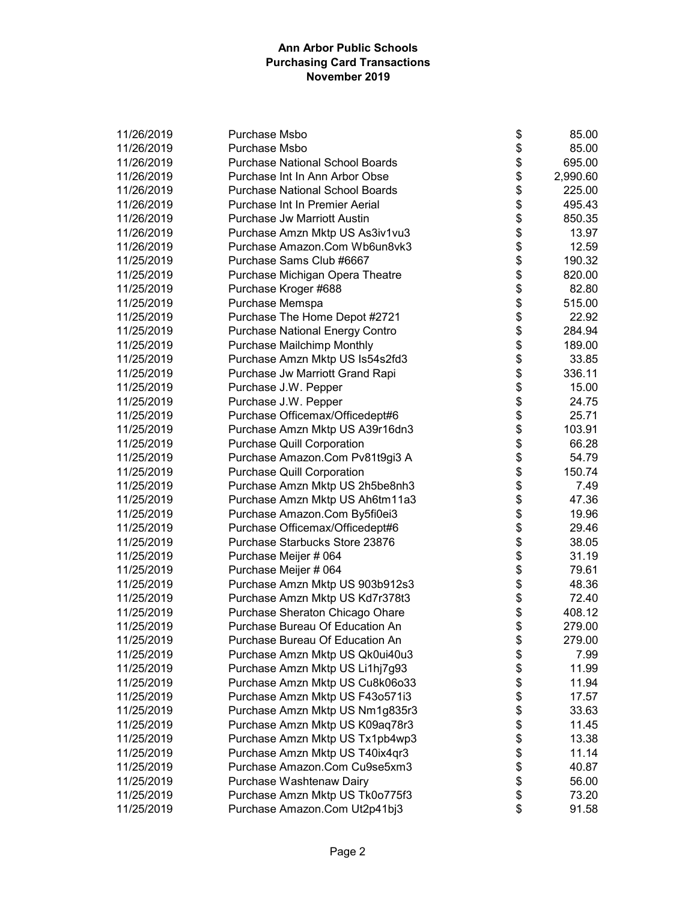| 11/26/2019 | Purchase Msbo                          | \$                 | 85.00    |
|------------|----------------------------------------|--------------------|----------|
| 11/26/2019 | Purchase Msbo                          | \$                 | 85.00    |
| 11/26/2019 | <b>Purchase National School Boards</b> | \$                 | 695.00   |
| 11/26/2019 | Purchase Int In Ann Arbor Obse         | \$                 | 2,990.60 |
| 11/26/2019 | <b>Purchase National School Boards</b> | \$                 | 225.00   |
| 11/26/2019 | Purchase Int In Premier Aerial         | \$                 | 495.43   |
| 11/26/2019 | <b>Purchase Jw Marriott Austin</b>     | \$                 | 850.35   |
| 11/26/2019 | Purchase Amzn Mktp US As3iv1vu3        | \$                 | 13.97    |
| 11/26/2019 | Purchase Amazon.Com Wb6un8vk3          | \$<br>\$           | 12.59    |
| 11/25/2019 | Purchase Sams Club #6667               |                    | 190.32   |
| 11/25/2019 | Purchase Michigan Opera Theatre        | \$                 | 820.00   |
| 11/25/2019 | Purchase Kroger #688                   | \$                 | 82.80    |
| 11/25/2019 | Purchase Memspa                        |                    | 515.00   |
| 11/25/2019 | Purchase The Home Depot #2721          | \$<br>\$           | 22.92    |
| 11/25/2019 | <b>Purchase National Energy Contro</b> | \$                 | 284.94   |
| 11/25/2019 | Purchase Mailchimp Monthly             | \$                 | 189.00   |
| 11/25/2019 | Purchase Amzn Mktp US Is54s2fd3        | \$                 | 33.85    |
| 11/25/2019 | Purchase Jw Marriott Grand Rapi        | \$                 | 336.11   |
| 11/25/2019 | Purchase J.W. Pepper                   | \$                 | 15.00    |
| 11/25/2019 | Purchase J.W. Pepper                   | \$                 | 24.75    |
| 11/25/2019 | Purchase Officemax/Officedept#6        | \$                 | 25.71    |
| 11/25/2019 | Purchase Amzn Mktp US A39r16dn3        | \$                 | 103.91   |
| 11/25/2019 | Purchase Quill Corporation             | \$                 | 66.28    |
| 11/25/2019 | Purchase Amazon.Com Pv81t9gi3 A        | \$                 | 54.79    |
| 11/25/2019 | <b>Purchase Quill Corporation</b>      | \$                 | 150.74   |
| 11/25/2019 | Purchase Amzn Mktp US 2h5be8nh3        | \$                 | 7.49     |
| 11/25/2019 | Purchase Amzn Mktp US Ah6tm11a3        |                    | 47.36    |
| 11/25/2019 | Purchase Amazon.Com By5fi0ei3          | \$                 | 19.96    |
| 11/25/2019 | Purchase Officemax/Officedept#6        | \$                 | 29.46    |
| 11/25/2019 | Purchase Starbucks Store 23876         | \$                 | 38.05    |
| 11/25/2019 | Purchase Meijer # 064                  |                    | 31.19    |
| 11/25/2019 | Purchase Meijer # 064                  | \$                 | 79.61    |
| 11/25/2019 | Purchase Amzn Mktp US 903b912s3        | \$                 | 48.36    |
| 11/25/2019 | Purchase Amzn Mktp US Kd7r378t3        | \$                 | 72.40    |
| 11/25/2019 | Purchase Sheraton Chicago Ohare        | \$                 | 408.12   |
| 11/25/2019 | Purchase Bureau Of Education An        | \$                 | 279.00   |
| 11/25/2019 | Purchase Bureau Of Education An        | \$                 | 279.00   |
| 11/25/2019 | Purchase Amzn Mktp US Qk0ui40u3        |                    | 7.99     |
| 11/25/2019 | Purchase Amzn Mktp US Li1hj7g93        |                    | 11.99    |
| 11/25/2019 | Purchase Amzn Mktp US Cu8k06o33        |                    | 11.94    |
| 11/25/2019 | Purchase Amzn Mktp US F43o571i3        |                    | 17.57    |
| 11/25/2019 | Purchase Amzn Mktp US Nm1g835r3        |                    | 33.63    |
| 11/25/2019 | Purchase Amzn Mktp US K09aq78r3        |                    | 11.45    |
| 11/25/2019 | Purchase Amzn Mktp US Tx1pb4wp3        |                    | 13.38    |
| 11/25/2019 | Purchase Amzn Mktp US T40ix4qr3        |                    | 11.14    |
| 11/25/2019 | Purchase Amazon.Com Cu9se5xm3          | <b>88888888888</b> | 40.87    |
| 11/25/2019 | Purchase Washtenaw Dairy               |                    | 56.00    |
| 11/25/2019 | Purchase Amzn Mktp US Tk0o775f3        |                    | 73.20    |
| 11/25/2019 | Purchase Amazon.Com Ut2p41bj3          | \$                 | 91.58    |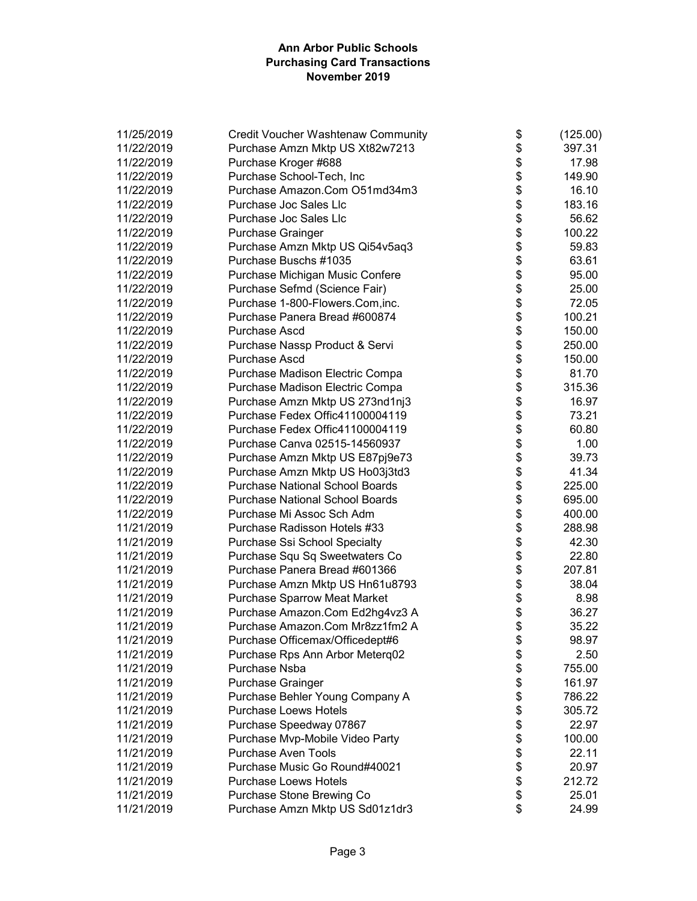| 11/25/2019 | <b>Credit Voucher Washtenaw Community</b> | \$                  | (125.00) |
|------------|-------------------------------------------|---------------------|----------|
| 11/22/2019 | Purchase Amzn Mktp US Xt82w7213           | \$                  | 397.31   |
| 11/22/2019 | Purchase Kroger #688                      |                     | 17.98    |
| 11/22/2019 | Purchase School-Tech, Inc                 |                     | 149.90   |
| 11/22/2019 | Purchase Amazon.Com O51md34m3             |                     | 16.10    |
| 11/22/2019 | Purchase Joc Sales Llc                    |                     | 183.16   |
| 11/22/2019 | Purchase Joc Sales Llc                    | <b>8888888888</b>   | 56.62    |
| 11/22/2019 | <b>Purchase Grainger</b>                  |                     | 100.22   |
| 11/22/2019 | Purchase Amzn Mktp US Qi54v5aq3           |                     | 59.83    |
| 11/22/2019 | Purchase Buschs #1035                     |                     | 63.61    |
| 11/22/2019 | Purchase Michigan Music Confere           |                     | 95.00    |
| 11/22/2019 | Purchase Sefmd (Science Fair)             |                     | 25.00    |
| 11/22/2019 | Purchase 1-800-Flowers.Com, inc.          |                     | 72.05    |
| 11/22/2019 | Purchase Panera Bread #600874             | \$                  | 100.21   |
| 11/22/2019 | <b>Purchase Ascd</b>                      | \$                  | 150.00   |
| 11/22/2019 | Purchase Nassp Product & Servi            | \$                  | 250.00   |
| 11/22/2019 | Purchase Ascd                             |                     | 150.00   |
| 11/22/2019 | Purchase Madison Electric Compa           |                     | 81.70    |
| 11/22/2019 | Purchase Madison Electric Compa           |                     | 315.36   |
| 11/22/2019 | Purchase Amzn Mktp US 273nd1nj3           |                     | 16.97    |
| 11/22/2019 | Purchase Fedex Offic41100004119           |                     | 73.21    |
| 11/22/2019 | Purchase Fedex Offic41100004119           |                     | 60.80    |
| 11/22/2019 | Purchase Canva 02515-14560937             |                     | 1.00     |
| 11/22/2019 | Purchase Amzn Mktp US E87pj9e73           |                     | 39.73    |
| 11/22/2019 | Purchase Amzn Mktp US Ho03j3td3           |                     | 41.34    |
| 11/22/2019 | <b>Purchase National School Boards</b>    | <b>aaaaaaaaaaaa</b> | 225.00   |
| 11/22/2019 | <b>Purchase National School Boards</b>    |                     | 695.00   |
| 11/22/2019 | Purchase Mi Assoc Sch Adm                 |                     | 400.00   |
| 11/21/2019 | Purchase Radisson Hotels #33              | \$<br>\$            | 288.98   |
| 11/21/2019 | Purchase Ssi School Specialty             |                     | 42.30    |
| 11/21/2019 | Purchase Squ Sq Sweetwaters Co            | \$                  | 22.80    |
| 11/21/2019 | Purchase Panera Bread #601366             | \$                  | 207.81   |
| 11/21/2019 | Purchase Amzn Mktp US Hn61u8793           | \$                  | 38.04    |
| 11/21/2019 | <b>Purchase Sparrow Meat Market</b>       | \$                  | 8.98     |
| 11/21/2019 | Purchase Amazon.Com Ed2hg4vz3 A           | \$                  | 36.27    |
| 11/21/2019 | Purchase Amazon.Com Mr8zz1fm2 A           | \$                  | 35.22    |
| 11/21/2019 | Purchase Officemax/Officedept#6           | \$                  | 98.97    |
| 11/21/2019 | Purchase Rps Ann Arbor Meterq02           |                     | 2.50     |
| 11/21/2019 | Purchase Nsba                             |                     | 755.00   |
| 11/21/2019 | Purchase Grainger                         |                     | 161.97   |
| 11/21/2019 | Purchase Behler Young Company A           |                     | 786.22   |
| 11/21/2019 | <b>Purchase Loews Hotels</b>              |                     | 305.72   |
| 11/21/2019 | Purchase Speedway 07867                   |                     | 22.97    |
| 11/21/2019 | Purchase Mvp-Mobile Video Party           |                     | 100.00   |
| 11/21/2019 | <b>Purchase Aven Tools</b>                |                     | 22.11    |
| 11/21/2019 | Purchase Music Go Round#40021             | <b>8888888888</b>   | 20.97    |
| 11/21/2019 | <b>Purchase Loews Hotels</b>              |                     | 212.72   |
| 11/21/2019 | Purchase Stone Brewing Co                 | \$                  | 25.01    |
| 11/21/2019 | Purchase Amzn Mktp US Sd01z1dr3           | \$                  | 24.99    |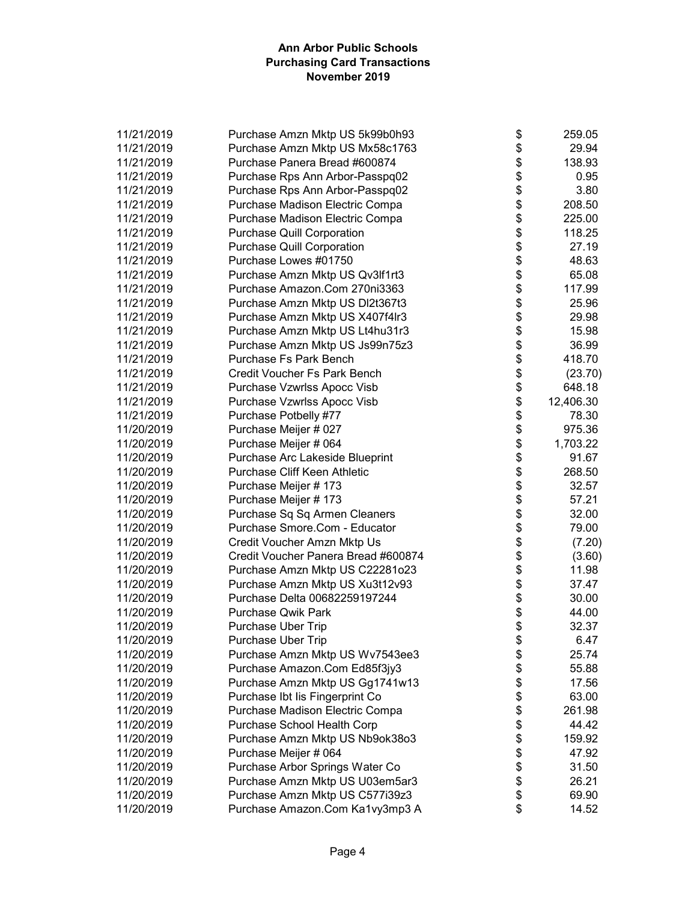| 11/21/2019 | Purchase Amzn Mktp US 5k99b0h93     | \$         | 259.05    |
|------------|-------------------------------------|------------|-----------|
| 11/21/2019 | Purchase Amzn Mktp US Mx58c1763     | \$         | 29.94     |
| 11/21/2019 | Purchase Panera Bread #600874       | \$         | 138.93    |
| 11/21/2019 | Purchase Rps Ann Arbor-Passpq02     | \$         | 0.95      |
| 11/21/2019 | Purchase Rps Ann Arbor-Passpq02     | \$         | 3.80      |
| 11/21/2019 | Purchase Madison Electric Compa     | \$         | 208.50    |
| 11/21/2019 | Purchase Madison Electric Compa     | \$         | 225.00    |
| 11/21/2019 | <b>Purchase Quill Corporation</b>   |            | 118.25    |
| 11/21/2019 | <b>Purchase Quill Corporation</b>   | \$\$       | 27.19     |
| 11/21/2019 | Purchase Lowes #01750               |            | 48.63     |
| 11/21/2019 | Purchase Amzn Mktp US Qv3lf1rt3     | \$         | 65.08     |
| 11/21/2019 | Purchase Amazon.Com 270ni3363       | \$         | 117.99    |
| 11/21/2019 | Purchase Amzn Mktp US DI2t367t3     | \$         | 25.96     |
| 11/21/2019 | Purchase Amzn Mktp US X407f4lr3     | \$         | 29.98     |
| 11/21/2019 | Purchase Amzn Mktp US Lt4hu31r3     | \$         | 15.98     |
| 11/21/2019 | Purchase Amzn Mktp US Js99n75z3     | \$         | 36.99     |
| 11/21/2019 | Purchase Fs Park Bench              | \$         | 418.70    |
| 11/21/2019 | <b>Credit Voucher Fs Park Bench</b> | \$         | (23.70)   |
| 11/21/2019 | Purchase Vzwrlss Apocc Visb         | \$         | 648.18    |
| 11/21/2019 | Purchase Vzwrlss Apocc Visb         | \$         | 12,406.30 |
| 11/21/2019 | Purchase Potbelly #77               | \$         | 78.30     |
| 11/20/2019 | Purchase Meijer # 027               | \$         | 975.36    |
| 11/20/2019 | Purchase Meijer # 064               | \$         | 1,703.22  |
| 11/20/2019 | Purchase Arc Lakeside Blueprint     | \$         | 91.67     |
| 11/20/2019 | <b>Purchase Cliff Keen Athletic</b> |            | 268.50    |
| 11/20/2019 | Purchase Meijer # 173               | \$\$\$\$\$ | 32.57     |
| 11/20/2019 | Purchase Meijer # 173               |            | 57.21     |
| 11/20/2019 | Purchase Sq Sq Armen Cleaners       |            | 32.00     |
| 11/20/2019 | Purchase Smore.Com - Educator       |            | 79.00     |
| 11/20/2019 | Credit Voucher Amzn Mktp Us         | \$         | (7.20)    |
| 11/20/2019 | Credit Voucher Panera Bread #600874 | \$         | (3.60)    |
| 11/20/2019 | Purchase Amzn Mktp US C22281o23     | \$         | 11.98     |
| 11/20/2019 | Purchase Amzn Mktp US Xu3t12v93     | \$         | 37.47     |
| 11/20/2019 | Purchase Delta 00682259197244       | \$         | 30.00     |
| 11/20/2019 | <b>Purchase Qwik Park</b>           | \$         | 44.00     |
| 11/20/2019 | Purchase Uber Trip                  | \$         | 32.37     |
| 11/20/2019 | Purchase Uber Trip                  | φ          | 6.47      |
| 11/20/2019 | Purchase Amzn Mktp US Wv7543ee3     | \$         | 25.74     |
| 11/20/2019 | Purchase Amazon.Com Ed85f3jy3       | \$         | 55.88     |
| 11/20/2019 | Purchase Amzn Mktp US Gg1741w13     | \$         | 17.56     |
| 11/20/2019 | Purchase Ibt lis Fingerprint Co     | \$         | 63.00     |
| 11/20/2019 | Purchase Madison Electric Compa     | \$\$       | 261.98    |
| 11/20/2019 | Purchase School Health Corp         |            | 44.42     |
| 11/20/2019 | Purchase Amzn Mktp US Nb9ok38o3     |            | 159.92    |
| 11/20/2019 | Purchase Meijer # 064               | \$         | 47.92     |
| 11/20/2019 | Purchase Arbor Springs Water Co     | \$         | 31.50     |
| 11/20/2019 | Purchase Amzn Mktp US U03em5ar3     | \$         | 26.21     |
| 11/20/2019 | Purchase Amzn Mktp US C577i39z3     | \$         | 69.90     |
| 11/20/2019 | Purchase Amazon.Com Ka1vy3mp3 A     | \$         | 14.52     |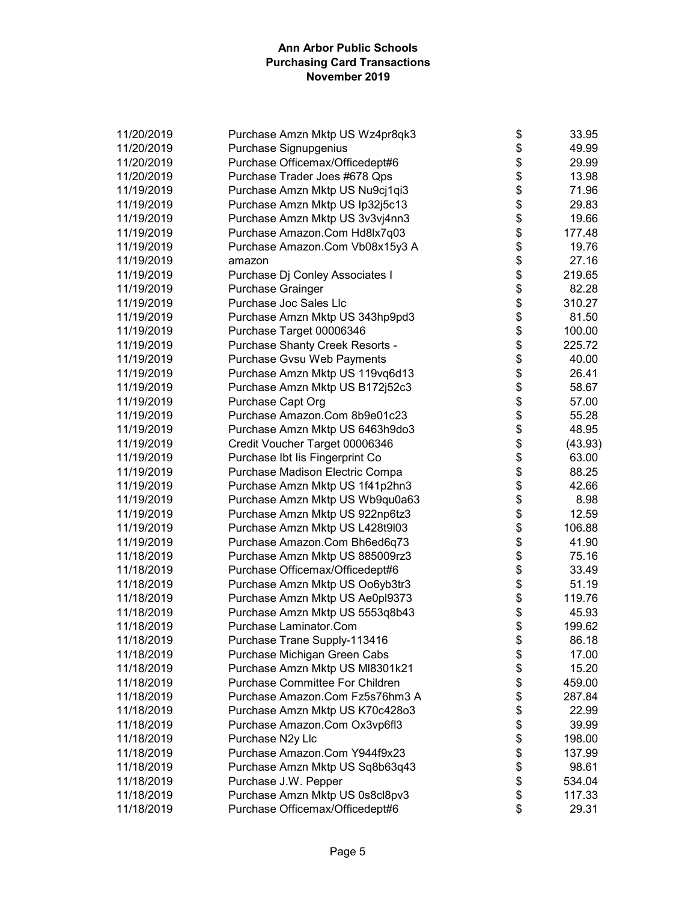| 11/20/2019 | Purchase Amzn Mktp US Wz4pr8qk3        | \$         | 33.95   |
|------------|----------------------------------------|------------|---------|
| 11/20/2019 | Purchase Signupgenius                  | \$         | 49.99   |
| 11/20/2019 | Purchase Officemax/Officedept#6        | \$         | 29.99   |
| 11/20/2019 | Purchase Trader Joes #678 Qps          | \$         | 13.98   |
| 11/19/2019 | Purchase Amzn Mktp US Nu9cj1qi3        | \$         | 71.96   |
| 11/19/2019 | Purchase Amzn Mktp US Ip32j5c13        | \$         | 29.83   |
| 11/19/2019 | Purchase Amzn Mktp US 3v3vj4nn3        |            | 19.66   |
| 11/19/2019 | Purchase Amazon.Com Hd8lx7q03          |            | 177.48  |
| 11/19/2019 | Purchase Amazon.Com Vb08x15y3 A        | \$\$\$     | 19.76   |
| 11/19/2019 | amazon                                 |            | 27.16   |
| 11/19/2019 | Purchase Dj Conley Associates I        | \$         | 219.65  |
| 11/19/2019 | Purchase Grainger                      | \$         | 82.28   |
| 11/19/2019 | Purchase Joc Sales Llc                 | \$         | 310.27  |
| 11/19/2019 | Purchase Amzn Mktp US 343hp9pd3        | \$         | 81.50   |
| 11/19/2019 | Purchase Target 00006346               | \$         | 100.00  |
| 11/19/2019 | Purchase Shanty Creek Resorts -        | \$         | 225.72  |
| 11/19/2019 | Purchase Gvsu Web Payments             | \$         | 40.00   |
| 11/19/2019 | Purchase Amzn Mktp US 119vq6d13        | \$         | 26.41   |
| 11/19/2019 | Purchase Amzn Mktp US B172j52c3        | \$         | 58.67   |
| 11/19/2019 | Purchase Capt Org                      | \$\$\$     | 57.00   |
| 11/19/2019 | Purchase Amazon.Com 8b9e01c23          |            | 55.28   |
| 11/19/2019 | Purchase Amzn Mktp US 6463h9do3        |            | 48.95   |
| 11/19/2019 | Credit Voucher Target 00006346         |            | (43.93) |
| 11/19/2019 | Purchase Ibt lis Fingerprint Co        |            | 63.00   |
| 11/19/2019 | Purchase Madison Electric Compa        |            | 88.25   |
| 11/19/2019 | Purchase Amzn Mktp US 1f41p2hn3        | \$\$\$\$\$ | 42.66   |
| 11/19/2019 | Purchase Amzn Mktp US Wb9qu0a63        |            | 8.98    |
| 11/19/2019 | Purchase Amzn Mktp US 922np6tz3        |            | 12.59   |
| 11/19/2019 | Purchase Amzn Mktp US L428t9l03        | \$         | 106.88  |
| 11/19/2019 | Purchase Amazon.Com Bh6ed6q73          | \$         | 41.90   |
| 11/18/2019 | Purchase Amzn Mktp US 885009rz3        | \$         | 75.16   |
| 11/18/2019 | Purchase Officemax/Officedept#6        | \$         | 33.49   |
| 11/18/2019 | Purchase Amzn Mktp US Oo6yb3tr3        | \$         | 51.19   |
| 11/18/2019 | Purchase Amzn Mktp US Ae0pl9373        | \$         | 119.76  |
| 11/18/2019 | Purchase Amzn Mktp US 5553q8b43        | \$         | 45.93   |
| 11/18/2019 | Purchase Laminator.Com                 | \$         | 199.62  |
| 11/18/2019 | Purchase Trane Supply-113416           | \$         | 86.18   |
| 11/18/2019 | Purchase Michigan Green Cabs           | \$         | 17.00   |
| 11/18/2019 | Purchase Amzn Mktp US MI8301k21        | \$         | 15.20   |
| 11/18/2019 | <b>Purchase Committee For Children</b> | \$         | 459.00  |
| 11/18/2019 | Purchase Amazon.Com Fz5s76hm3 A        | \$\$\$\$\$ | 287.84  |
| 11/18/2019 | Purchase Amzn Mktp US K70c428o3        |            | 22.99   |
| 11/18/2019 | Purchase Amazon.Com Ox3vp6fl3          |            | 39.99   |
| 11/18/2019 | Purchase N2y Llc                       |            | 198.00  |
| 11/18/2019 | Purchase Amazon.Com Y944f9x23          |            | 137.99  |
| 11/18/2019 | Purchase Amzn Mktp US Sq8b63q43        | \$         | 98.61   |
| 11/18/2019 | Purchase J.W. Pepper                   | \$         | 534.04  |
| 11/18/2019 | Purchase Amzn Mktp US 0s8cl8pv3        | \$         | 117.33  |
| 11/18/2019 | Purchase Officemax/Officedept#6        | \$         | 29.31   |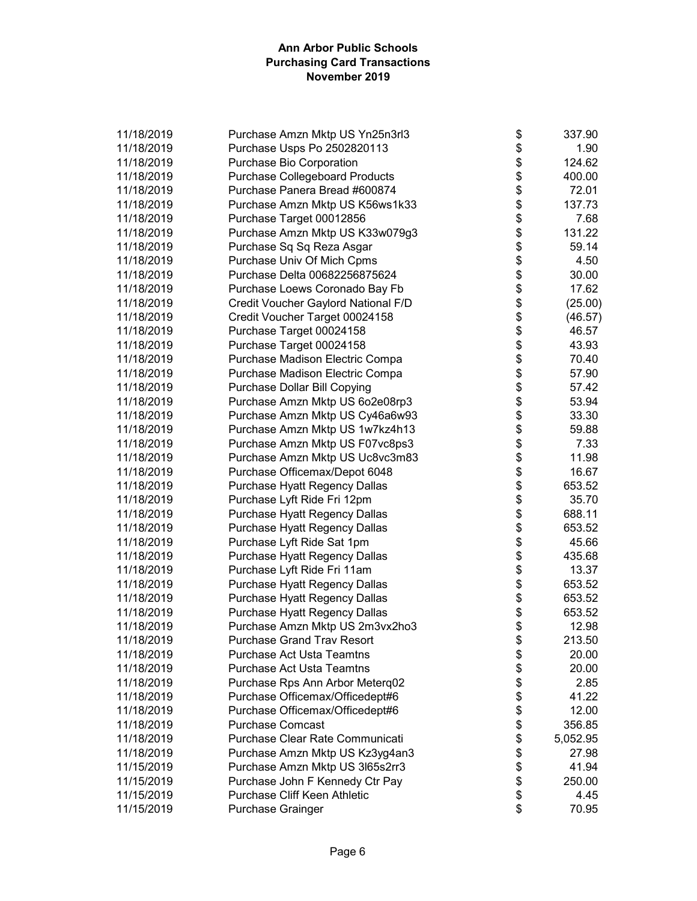| 11/18/2019 | Purchase Amzn Mktp US Yn25n3rl3       | \$               | 337.90   |
|------------|---------------------------------------|------------------|----------|
| 11/18/2019 | Purchase Usps Po 2502820113           | \$               | 1.90     |
| 11/18/2019 | Purchase Bio Corporation              | \$               | 124.62   |
| 11/18/2019 | <b>Purchase Collegeboard Products</b> | \$               | 400.00   |
| 11/18/2019 | Purchase Panera Bread #600874         |                  | 72.01    |
| 11/18/2019 | Purchase Amzn Mktp US K56ws1k33       | \$<br>\$         | 137.73   |
| 11/18/2019 | Purchase Target 00012856              |                  | 7.68     |
| 11/18/2019 | Purchase Amzn Mktp US K33w079g3       |                  | 131.22   |
| 11/18/2019 | Purchase Sq Sq Reza Asgar             | \$\$\$\$\$       | 59.14    |
| 11/18/2019 | Purchase Univ Of Mich Cpms            |                  | 4.50     |
| 11/18/2019 | Purchase Delta 00682256875624         |                  | 30.00    |
| 11/18/2019 | Purchase Loews Coronado Bay Fb        | \$               | 17.62    |
| 11/18/2019 | Credit Voucher Gaylord National F/D   | \$               | (25.00)  |
| 11/18/2019 | Credit Voucher Target 00024158        | \$               | (46.57)  |
| 11/18/2019 | Purchase Target 00024158              | \$               | 46.57    |
| 11/18/2019 | Purchase Target 00024158              | \$               | 43.93    |
| 11/18/2019 | Purchase Madison Electric Compa       | \$<br>\$         | 70.40    |
| 11/18/2019 | Purchase Madison Electric Compa       |                  | 57.90    |
| 11/18/2019 | Purchase Dollar Bill Copying          |                  | 57.42    |
| 11/18/2019 | Purchase Amzn Mktp US 6o2e08rp3       |                  | 53.94    |
| 11/18/2019 | Purchase Amzn Mktp US Cy46a6w93       |                  | 33.30    |
| 11/18/2019 | Purchase Amzn Mktp US 1w7kz4h13       |                  | 59.88    |
| 11/18/2019 | Purchase Amzn Mktp US F07vc8ps3       |                  | 7.33     |
| 11/18/2019 | Purchase Amzn Mktp US Uc8vc3m83       |                  | 11.98    |
| 11/18/2019 | Purchase Officemax/Depot 6048         |                  | 16.67    |
| 11/18/2019 | Purchase Hyatt Regency Dallas         | <b>888888888</b> | 653.52   |
| 11/18/2019 | Purchase Lyft Ride Fri 12pm           |                  | 35.70    |
| 11/18/2019 | Purchase Hyatt Regency Dallas         |                  | 688.11   |
| 11/18/2019 | Purchase Hyatt Regency Dallas         | \$               | 653.52   |
| 11/18/2019 | Purchase Lyft Ride Sat 1pm            | \$               | 45.66    |
| 11/18/2019 | Purchase Hyatt Regency Dallas         | \$               | 435.68   |
| 11/18/2019 | Purchase Lyft Ride Fri 11am           | \$               | 13.37    |
| 11/18/2019 | Purchase Hyatt Regency Dallas         | \$               | 653.52   |
| 11/18/2019 | Purchase Hyatt Regency Dallas         | \$               | 653.52   |
| 11/18/2019 | Purchase Hyatt Regency Dallas         | \$               | 653.52   |
| 11/18/2019 | Purchase Amzn Mktp US 2m3vx2ho3       | \$               | 12.98    |
| 11/18/2019 | Purchase Grand Trav Resort            | \$               | 213.50   |
| 11/18/2019 | <b>Purchase Act Usta Teamtns</b>      | \$               | 20.00    |
| 11/18/2019 | <b>Purchase Act Usta Teamtns</b>      | \$               | 20.00    |
| 11/18/2019 | Purchase Rps Ann Arbor Meterq02       | \$               | 2.85     |
| 11/18/2019 | Purchase Officemax/Officedept#6       | \$\$             | 41.22    |
| 11/18/2019 | Purchase Officemax/Officedept#6       |                  | 12.00    |
| 11/18/2019 | <b>Purchase Comcast</b>               |                  | 356.85   |
| 11/18/2019 | Purchase Clear Rate Communicati       | \$               | 5,052.95 |
| 11/18/2019 | Purchase Amzn Mktp US Kz3yg4an3       | \$               | 27.98    |
| 11/15/2019 | Purchase Amzn Mktp US 3l65s2rr3       | \$               | 41.94    |
| 11/15/2019 | Purchase John F Kennedy Ctr Pay       | \$               | 250.00   |
| 11/15/2019 | Purchase Cliff Keen Athletic          | \$               | 4.45     |
| 11/15/2019 | Purchase Grainger                     | \$               | 70.95    |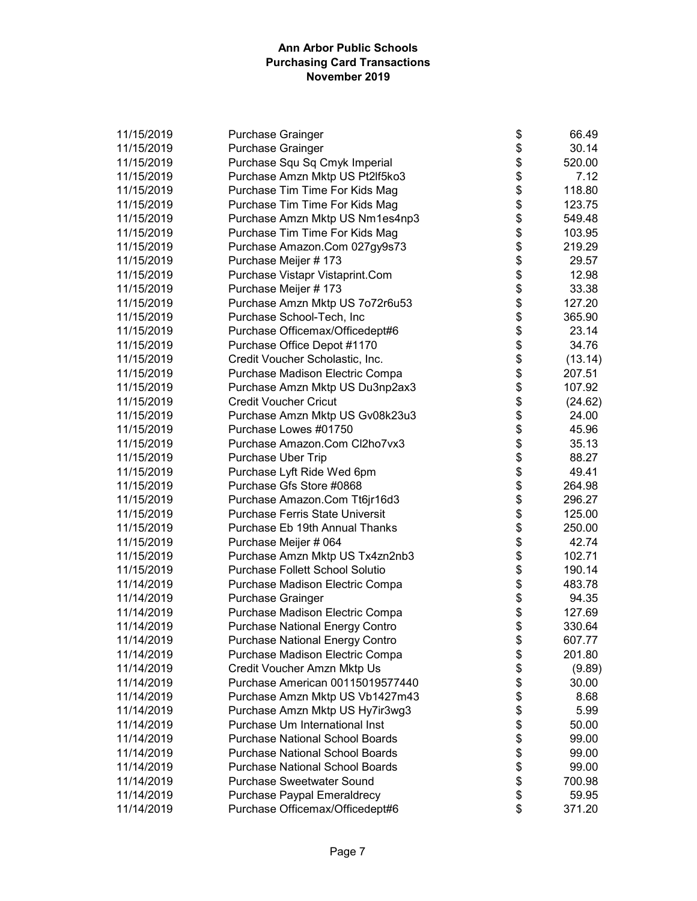| 11/15/2019 | <b>Purchase Grainger</b>               | \$                           | 66.49   |
|------------|----------------------------------------|------------------------------|---------|
| 11/15/2019 | <b>Purchase Grainger</b>               | \$                           | 30.14   |
| 11/15/2019 | Purchase Squ Sq Cmyk Imperial          | \$                           | 520.00  |
| 11/15/2019 | Purchase Amzn Mktp US Pt2lf5ko3        | \$                           | 7.12    |
| 11/15/2019 | Purchase Tim Time For Kids Mag         | <b>a a a a a a a a a a a</b> | 118.80  |
| 11/15/2019 | Purchase Tim Time For Kids Mag         |                              | 123.75  |
| 11/15/2019 | Purchase Amzn Mktp US Nm1es4np3        |                              | 549.48  |
| 11/15/2019 | Purchase Tim Time For Kids Mag         |                              | 103.95  |
| 11/15/2019 | Purchase Amazon.Com 027gy9s73          |                              | 219.29  |
| 11/15/2019 | Purchase Meijer # 173                  |                              | 29.57   |
| 11/15/2019 | Purchase Vistapr Vistaprint.Com        |                              | 12.98   |
| 11/15/2019 | Purchase Meijer # 173                  |                              | 33.38   |
| 11/15/2019 | Purchase Amzn Mktp US 7o72r6u53        |                              | 127.20  |
| 11/15/2019 | Purchase School-Tech, Inc              |                              | 365.90  |
| 11/15/2019 | Purchase Officemax/Officedept#6        |                              | 23.14   |
| 11/15/2019 | Purchase Office Depot #1170            |                              | 34.76   |
| 11/15/2019 | Credit Voucher Scholastic, Inc.        | \$                           | (13.14) |
| 11/15/2019 | Purchase Madison Electric Compa        | \$                           | 207.51  |
| 11/15/2019 | Purchase Amzn Mktp US Du3np2ax3        | \$                           | 107.92  |
| 11/15/2019 | <b>Credit Voucher Cricut</b>           |                              | (24.62) |
| 11/15/2019 | Purchase Amzn Mktp US Gv08k23u3        |                              | 24.00   |
| 11/15/2019 | Purchase Lowes #01750                  |                              | 45.96   |
| 11/15/2019 | Purchase Amazon.Com Cl2ho7vx3          |                              | 35.13   |
| 11/15/2019 | Purchase Uber Trip                     |                              | 88.27   |
| 11/15/2019 | Purchase Lyft Ride Wed 6pm             |                              | 49.41   |
| 11/15/2019 | Purchase Gfs Store #0868               | <b>888888888</b>             | 264.98  |
| 11/15/2019 | Purchase Amazon.Com Tt6jr16d3          |                              | 296.27  |
| 11/15/2019 | <b>Purchase Ferris State Universit</b> |                              | 125.00  |
| 11/15/2019 | Purchase Eb 19th Annual Thanks         |                              | 250.00  |
| 11/15/2019 | Purchase Meijer # 064                  | \$                           | 42.74   |
| 11/15/2019 | Purchase Amzn Mktp US Tx4zn2nb3        | \$                           | 102.71  |
| 11/15/2019 | Purchase Follett School Solutio        | \$                           | 190.14  |
| 11/14/2019 | Purchase Madison Electric Compa        | \$                           | 483.78  |
| 11/14/2019 | Purchase Grainger                      | \$                           | 94.35   |
| 11/14/2019 | Purchase Madison Electric Compa        | \$                           | 127.69  |
| 11/14/2019 | <b>Purchase National Energy Contro</b> | \$                           | 330.64  |
| 11/14/2019 | Purchase National Energy Contro        | Φ                            | 607.77  |
| 11/14/2019 | Purchase Madison Electric Compa        | \$                           | 201.80  |
| 11/14/2019 | Credit Voucher Amzn Mktp Us            |                              | (9.89)  |
| 11/14/2019 | Purchase American 00115019577440       |                              | 30.00   |
| 11/14/2019 | Purchase Amzn Mktp US Vb1427m43        |                              | 8.68    |
| 11/14/2019 | Purchase Amzn Mktp US Hy7ir3wg3        |                              | 5.99    |
| 11/14/2019 | Purchase Um International Inst         |                              | 50.00   |
| 11/14/2019 | <b>Purchase National School Boards</b> |                              | 99.00   |
| 11/14/2019 | <b>Purchase National School Boards</b> |                              | 99.00   |
| 11/14/2019 | <b>Purchase National School Boards</b> | <b>888888888</b>             | 99.00   |
| 11/14/2019 | <b>Purchase Sweetwater Sound</b>       |                              | 700.98  |
| 11/14/2019 | Purchase Paypal Emeraldrecy            | \$                           | 59.95   |
| 11/14/2019 | Purchase Officemax/Officedept#6        | \$                           | 371.20  |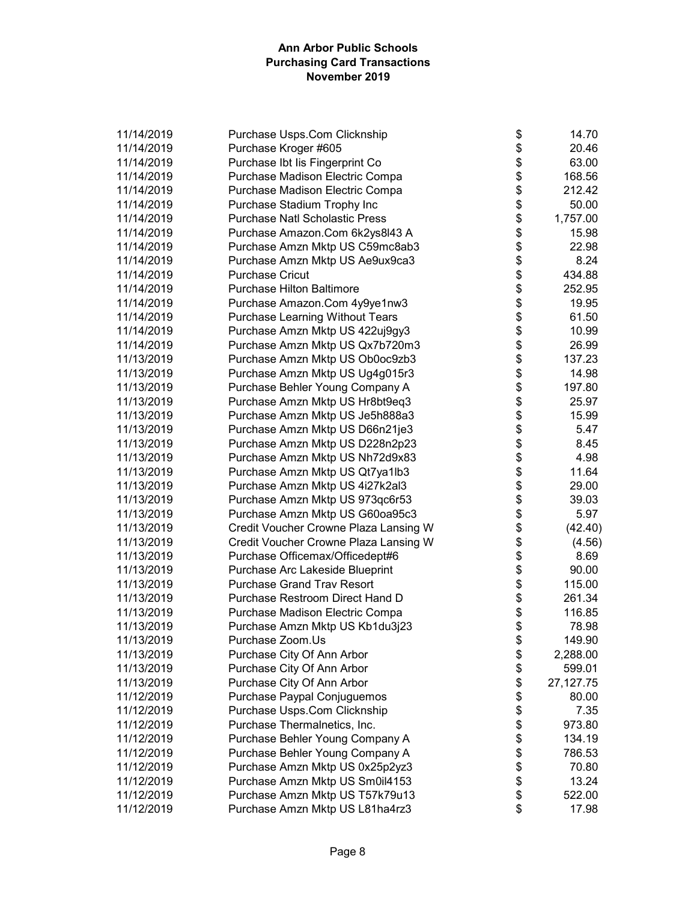| 11/14/2019 | Purchase Usps.Com Clicknship          | \$         | 14.70     |
|------------|---------------------------------------|------------|-----------|
| 11/14/2019 | Purchase Kroger #605                  | \$         | 20.46     |
| 11/14/2019 | Purchase Ibt lis Fingerprint Co       | \$         | 63.00     |
| 11/14/2019 | Purchase Madison Electric Compa       | \$         | 168.56    |
| 11/14/2019 | Purchase Madison Electric Compa       | \$         | 212.42    |
| 11/14/2019 | Purchase Stadium Trophy Inc           | \$         | 50.00     |
| 11/14/2019 | <b>Purchase Natl Scholastic Press</b> | \$         | 1,757.00  |
| 11/14/2019 | Purchase Amazon.Com 6k2ys8l43 A       |            | 15.98     |
| 11/14/2019 | Purchase Amzn Mktp US C59mc8ab3       | \$\$       | 22.98     |
| 11/14/2019 | Purchase Amzn Mktp US Ae9ux9ca3       |            | 8.24      |
| 11/14/2019 | <b>Purchase Cricut</b>                | \$         | 434.88    |
| 11/14/2019 | <b>Purchase Hilton Baltimore</b>      | \$         | 252.95    |
| 11/14/2019 | Purchase Amazon.Com 4y9ye1nw3         | \$         | 19.95     |
| 11/14/2019 | Purchase Learning Without Tears       | \$         | 61.50     |
| 11/14/2019 | Purchase Amzn Mktp US 422uj9gy3       | \$         | 10.99     |
| 11/14/2019 | Purchase Amzn Mktp US Qx7b720m3       | \$         | 26.99     |
| 11/13/2019 | Purchase Amzn Mktp US Ob0oc9zb3       | \$         | 137.23    |
| 11/13/2019 | Purchase Amzn Mktp US Ug4g015r3       | \$         | 14.98     |
| 11/13/2019 | Purchase Behler Young Company A       | \$         | 197.80    |
| 11/13/2019 | Purchase Amzn Mktp US Hr8bt9eq3       |            | 25.97     |
| 11/13/2019 | Purchase Amzn Mktp US Je5h888a3       | \$<br>\$   | 15.99     |
| 11/13/2019 | Purchase Amzn Mktp US D66n21je3       |            | 5.47      |
| 11/13/2019 | Purchase Amzn Mktp US D228n2p23       | \$<br>\$   | 8.45      |
| 11/13/2019 | Purchase Amzn Mktp US Nh72d9x83       | \$         | 4.98      |
| 11/13/2019 | Purchase Amzn Mktp US Qt7ya1lb3       |            | 11.64     |
| 11/13/2019 | Purchase Amzn Mktp US 4i27k2al3       | \$\$       | 29.00     |
| 11/13/2019 | Purchase Amzn Mktp US 973qc6r53       |            | 39.03     |
| 11/13/2019 | Purchase Amzn Mktp US G60oa95c3       | \$         | 5.97      |
| 11/13/2019 | Credit Voucher Crowne Plaza Lansing W | \$         | (42.40)   |
| 11/13/2019 | Credit Voucher Crowne Plaza Lansing W | \$         | (4.56)    |
| 11/13/2019 | Purchase Officemax/Officedept#6       | \$         | 8.69      |
| 11/13/2019 | Purchase Arc Lakeside Blueprint       | \$         | 90.00     |
| 11/13/2019 | <b>Purchase Grand Trav Resort</b>     | \$         | 115.00    |
| 11/13/2019 | Purchase Restroom Direct Hand D       | \$         | 261.34    |
| 11/13/2019 | Purchase Madison Electric Compa       | \$         | 116.85    |
| 11/13/2019 | Purchase Amzn Mktp US Kb1du3j23       | \$         | 78.98     |
| 11/13/2019 | Purchase Zoom.Us                      | \$         | 149.90    |
| 11/13/2019 | Purchase City Of Ann Arbor            | \$         | 2,288.00  |
| 11/13/2019 | Purchase City Of Ann Arbor            | \$         | 599.01    |
| 11/13/2019 | Purchase City Of Ann Arbor            | \$         | 27,127.75 |
| 11/12/2019 | Purchase Paypal Conjuguemos           |            | 80.00     |
| 11/12/2019 | Purchase Usps.Com Clicknship          |            | 7.35      |
| 11/12/2019 | Purchase Thermalnetics, Inc.          |            | 973.80    |
| 11/12/2019 | Purchase Behler Young Company A       |            | 134.19    |
| 11/12/2019 | Purchase Behler Young Company A       | \$\$\$\$\$ | 786.53    |
| 11/12/2019 | Purchase Amzn Mktp US 0x25p2yz3       | \$         | 70.80     |
| 11/12/2019 | Purchase Amzn Mktp US Sm0il4153       | \$         | 13.24     |
| 11/12/2019 | Purchase Amzn Mktp US T57k79u13       | \$         | 522.00    |
| 11/12/2019 | Purchase Amzn Mktp US L81ha4rz3       | \$         | 17.98     |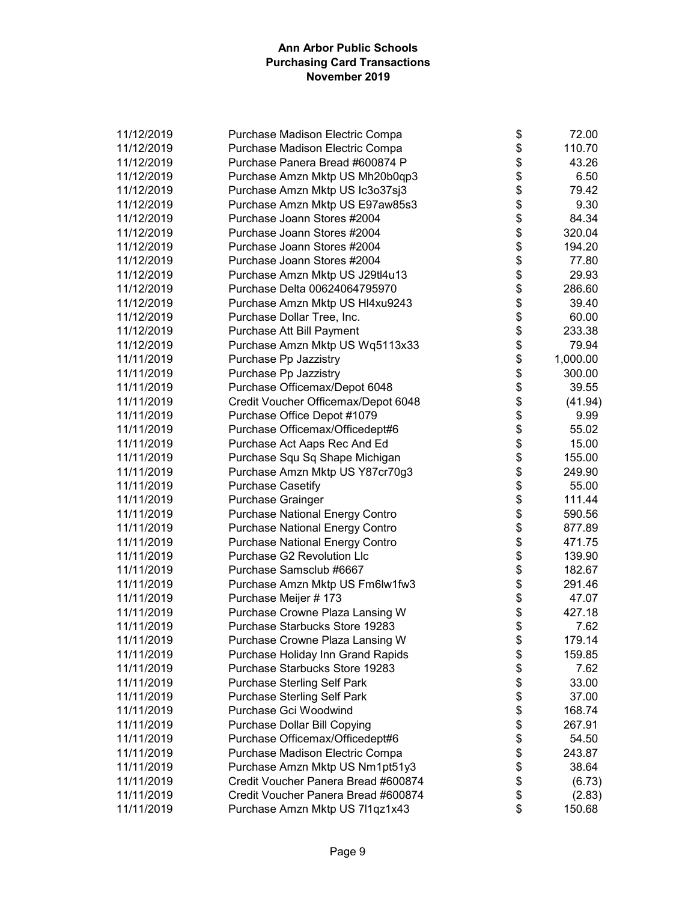| 11/12/2019 | Purchase Madison Electric Compa        | \$                       | 72.00    |
|------------|----------------------------------------|--------------------------|----------|
| 11/12/2019 | Purchase Madison Electric Compa        | \$                       | 110.70   |
| 11/12/2019 | Purchase Panera Bread #600874 P        | \$                       | 43.26    |
| 11/12/2019 | Purchase Amzn Mktp US Mh20b0qp3        |                          | 6.50     |
| 11/12/2019 | Purchase Amzn Mktp US Ic3o37sj3        |                          | 79.42    |
| 11/12/2019 | Purchase Amzn Mktp US E97aw85s3        |                          | 9.30     |
| 11/12/2019 | Purchase Joann Stores #2004            |                          | 84.34    |
| 11/12/2019 | Purchase Joann Stores #2004            | \$\$\$\$\$               | 320.04   |
| 11/12/2019 | Purchase Joann Stores #2004            | \$                       | 194.20   |
| 11/12/2019 | Purchase Joann Stores #2004            | \$                       | 77.80    |
| 11/12/2019 | Purchase Amzn Mktp US J29tl4u13        | \$                       | 29.93    |
| 11/12/2019 | Purchase Delta 00624064795970          | \$                       | 286.60   |
| 11/12/2019 | Purchase Amzn Mktp US HI4xu9243        | \$                       | 39.40    |
| 11/12/2019 | Purchase Dollar Tree, Inc.             | \$                       | 60.00    |
| 11/12/2019 | Purchase Att Bill Payment              | \$                       | 233.38   |
| 11/12/2019 | Purchase Amzn Mktp US Wq5113x33        |                          | 79.94    |
| 11/11/2019 | Purchase Pp Jazzistry                  |                          | 1,000.00 |
| 11/11/2019 | Purchase Pp Jazzistry                  |                          | 300.00   |
| 11/11/2019 | Purchase Officemax/Depot 6048          | <b>a a a a a a a a a</b> | 39.55    |
| 11/11/2019 | Credit Voucher Officemax/Depot 6048    |                          | (41.94)  |
| 11/11/2019 | Purchase Office Depot #1079            |                          | 9.99     |
| 11/11/2019 | Purchase Officemax/Officedept#6        |                          | 55.02    |
| 11/11/2019 | Purchase Act Aaps Rec And Ed           |                          | 15.00    |
| 11/11/2019 | Purchase Squ Sq Shape Michigan         |                          | 155.00   |
| 11/11/2019 | Purchase Amzn Mktp US Y87cr70g3        | \$                       | 249.90   |
| 11/11/2019 | <b>Purchase Casetify</b>               | \$                       | 55.00    |
| 11/11/2019 | Purchase Grainger                      | \$                       | 111.44   |
| 11/11/2019 | <b>Purchase National Energy Contro</b> | \$                       | 590.56   |
| 11/11/2019 | <b>Purchase National Energy Contro</b> | \$                       | 877.89   |
| 11/11/2019 | <b>Purchase National Energy Contro</b> | \$                       | 471.75   |
| 11/11/2019 | Purchase G2 Revolution Llc             | \$                       | 139.90   |
| 11/11/2019 | Purchase Samsclub #6667                | \$                       | 182.67   |
| 11/11/2019 | Purchase Amzn Mktp US Fm6lw1fw3        |                          | 291.46   |
| 11/11/2019 | Purchase Meijer # 173                  | \$<br>\$                 | 47.07    |
| 11/11/2019 | Purchase Crowne Plaza Lansing W        | \$                       | 427.18   |
| 11/11/2019 | Purchase Starbucks Store 19283         | \$                       | 7.62     |
| 11/11/2019 | Purchase Crowne Plaza Lansing W        | \$                       | 179.14   |
| 11/11/2019 | Purchase Holiday Inn Grand Rapids      | \$                       | 159.85   |
| 11/11/2019 | Purchase Starbucks Store 19283         |                          | 7.62     |
| 11/11/2019 | Purchase Sterling Self Park            |                          | 33.00    |
| 11/11/2019 | Purchase Sterling Self Park            | \$\$\$\$\$               | 37.00    |
| 11/11/2019 | Purchase Gci Woodwind                  |                          | 168.74   |
| 11/11/2019 | Purchase Dollar Bill Copying           |                          | 267.91   |
| 11/11/2019 | Purchase Officemax/Officedept#6        | \$                       | 54.50    |
| 11/11/2019 | Purchase Madison Electric Compa        | \$                       | 243.87   |
| 11/11/2019 | Purchase Amzn Mktp US Nm1pt51y3        | \$                       | 38.64    |
| 11/11/2019 | Credit Voucher Panera Bread #600874    | \$                       | (6.73)   |
| 11/11/2019 | Credit Voucher Panera Bread #600874    | \$                       | (2.83)   |
| 11/11/2019 | Purchase Amzn Mktp US 7l1qz1x43        | \$                       | 150.68   |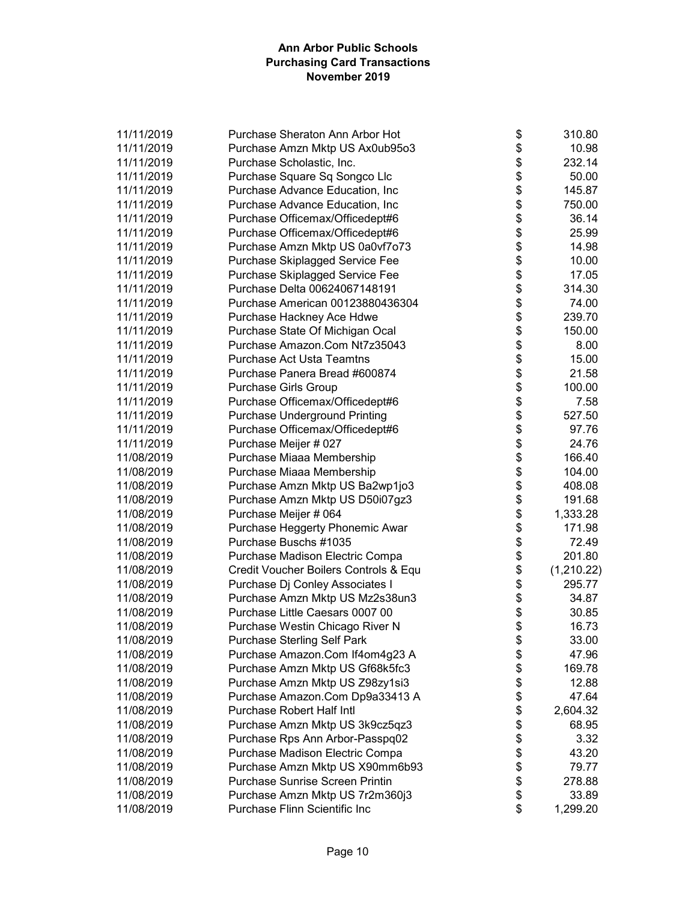| 11/11/2019 | Purchase Sheraton Ann Arbor Hot       | \$         | 310.80     |
|------------|---------------------------------------|------------|------------|
| 11/11/2019 | Purchase Amzn Mktp US Ax0ub95o3       | \$         | 10.98      |
| 11/11/2019 | Purchase Scholastic, Inc.             | \$         | 232.14     |
| 11/11/2019 | Purchase Square Sq Songco Llc         | \$         | 50.00      |
| 11/11/2019 | Purchase Advance Education, Inc       | \$         | 145.87     |
| 11/11/2019 | Purchase Advance Education, Inc       |            | 750.00     |
| 11/11/2019 | Purchase Officemax/Officedept#6       |            | 36.14      |
| 11/11/2019 | Purchase Officemax/Officedept#6       |            | 25.99      |
| 11/11/2019 | Purchase Amzn Mktp US 0a0vf7o73       |            | 14.98      |
| 11/11/2019 | Purchase Skiplagged Service Fee       | \$\$\$\$\$ | 10.00      |
| 11/11/2019 | Purchase Skiplagged Service Fee       | \$         | 17.05      |
| 11/11/2019 | Purchase Delta 00624067148191         | \$         | 314.30     |
| 11/11/2019 | Purchase American 00123880436304      | \$         | 74.00      |
| 11/11/2019 | Purchase Hackney Ace Hdwe             | \$         | 239.70     |
| 11/11/2019 | Purchase State Of Michigan Ocal       | \$         | 150.00     |
| 11/11/2019 | Purchase Amazon.Com Nt7z35043         | \$         | 8.00       |
| 11/11/2019 | <b>Purchase Act Usta Teamtns</b>      | \$\$       | 15.00      |
| 11/11/2019 | Purchase Panera Bread #600874         |            | 21.58      |
| 11/11/2019 | <b>Purchase Girls Group</b>           |            | 100.00     |
| 11/11/2019 | Purchase Officemax/Officedept#6       | \$<br>\$   | 7.58       |
| 11/11/2019 | <b>Purchase Underground Printing</b>  |            | 527.50     |
| 11/11/2019 | Purchase Officemax/Officedept#6       | \$\$\$     | 97.76      |
| 11/11/2019 | Purchase Meijer # 027                 |            | 24.76      |
| 11/08/2019 | Purchase Miaaa Membership             |            | 166.40     |
| 11/08/2019 | Purchase Miaaa Membership             |            | 104.00     |
| 11/08/2019 | Purchase Amzn Mktp US Ba2wp1jo3       | \$         | 408.08     |
| 11/08/2019 | Purchase Amzn Mktp US D50i07gz3       | \$         | 191.68     |
| 11/08/2019 | Purchase Meijer # 064                 | \$         | 1,333.28   |
| 11/08/2019 | Purchase Heggerty Phonemic Awar       | \$         | 171.98     |
| 11/08/2019 | Purchase Buschs #1035                 | \$         | 72.49      |
| 11/08/2019 | Purchase Madison Electric Compa       | \$         | 201.80     |
| 11/08/2019 | Credit Voucher Boilers Controls & Equ | \$         | (1,210.22) |
| 11/08/2019 | Purchase Dj Conley Associates I       | \$         | 295.77     |
| 11/08/2019 | Purchase Amzn Mktp US Mz2s38un3       | \$         | 34.87      |
| 11/08/2019 | Purchase Little Caesars 0007 00       | \$         | 30.85      |
| 11/08/2019 | Purchase Westin Chicago River N       | \$         | 16.73      |
| 11/08/2019 | Purchase Sterling Self Park           | \$         | 33.00      |
| 11/08/2019 | Purchase Amazon.Com If4om4g23 A       | \$         | 47.96      |
| 11/08/2019 | Purchase Amzn Mktp US Gf68k5fc3       | \$         | 169.78     |
| 11/08/2019 | Purchase Amzn Mktp US Z98zy1si3       | \$         | 12.88      |
| 11/08/2019 | Purchase Amazon.Com Dp9a33413 A       |            | 47.64      |
| 11/08/2019 | <b>Purchase Robert Half Intl.</b>     | \$         | 2,604.32   |
| 11/08/2019 | Purchase Amzn Mktp US 3k9cz5qz3       | \$         | 68.95      |
| 11/08/2019 | Purchase Rps Ann Arbor-Passpq02       | \$         | 3.32       |
| 11/08/2019 | Purchase Madison Electric Compa       | \$         | 43.20      |
| 11/08/2019 | Purchase Amzn Mktp US X90mm6b93       | \$         | 79.77      |
| 11/08/2019 | Purchase Sunrise Screen Printin       | \$         | 278.88     |
| 11/08/2019 | Purchase Amzn Mktp US 7r2m360j3       | \$         | 33.89      |
| 11/08/2019 | Purchase Flinn Scientific Inc         | \$         | 1,299.20   |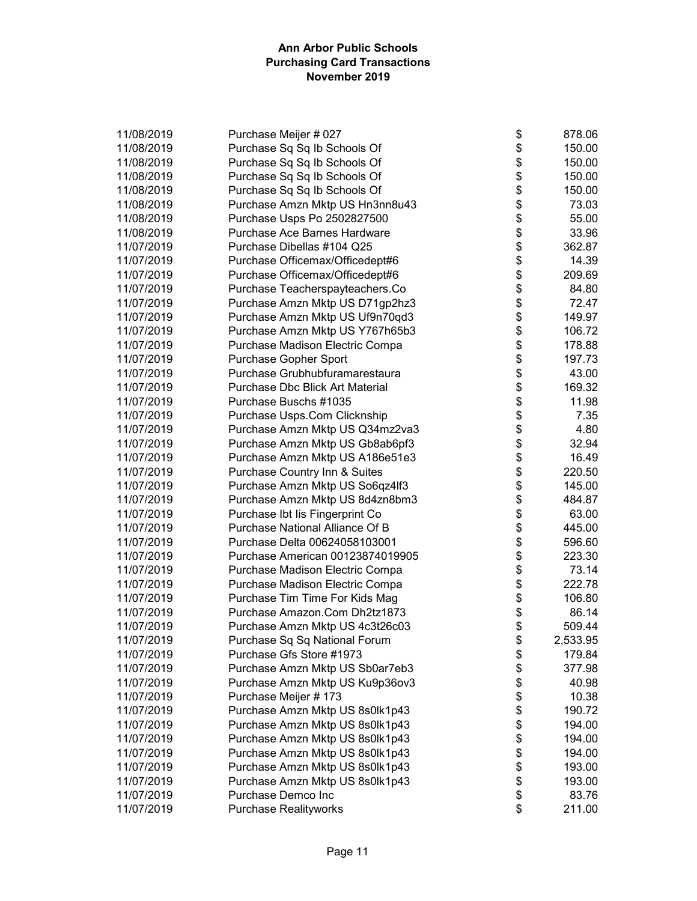| 11/08/2019 | Purchase Meijer # 027                  | \$                         | 878.06   |
|------------|----------------------------------------|----------------------------|----------|
| 11/08/2019 | Purchase Sq Sq Ib Schools Of           | \$                         | 150.00   |
| 11/08/2019 | Purchase Sq Sq Ib Schools Of           | \$                         | 150.00   |
| 11/08/2019 | Purchase Sq Sq Ib Schools Of           | \$                         | 150.00   |
| 11/08/2019 | Purchase Sq Sq Ib Schools Of           | \$                         | 150.00   |
| 11/08/2019 | Purchase Amzn Mktp US Hn3nn8u43        | \$                         | 73.03    |
| 11/08/2019 | Purchase Usps Po 2502827500            |                            | 55.00    |
| 11/08/2019 | Purchase Ace Barnes Hardware           | \$                         | 33.96    |
| 11/07/2019 | Purchase Dibellas #104 Q25             | \$                         | 362.87   |
| 11/07/2019 | Purchase Officemax/Officedept#6        | \$                         | 14.39    |
| 11/07/2019 | Purchase Officemax/Officedept#6        | \$<br>\$                   | 209.69   |
| 11/07/2019 | Purchase Teacherspayteachers.Co        |                            | 84.80    |
| 11/07/2019 | Purchase Amzn Mktp US D71gp2hz3        | \$                         | 72.47    |
| 11/07/2019 | Purchase Amzn Mktp US Uf9n70qd3        | \$                         | 149.97   |
| 11/07/2019 | Purchase Amzn Mktp US Y767h65b3        | \$                         | 106.72   |
| 11/07/2019 | Purchase Madison Electric Compa        | \$                         | 178.88   |
| 11/07/2019 | Purchase Gopher Sport                  | \$                         | 197.73   |
| 11/07/2019 | Purchase Grubhubfuramarestaura         | \$                         | 43.00    |
| 11/07/2019 | <b>Purchase Dbc Blick Art Material</b> | \$                         | 169.32   |
| 11/07/2019 | Purchase Buschs #1035                  | \$                         | 11.98    |
| 11/07/2019 | Purchase Usps.Com Clicknship           |                            | 7.35     |
| 11/07/2019 | Purchase Amzn Mktp US Q34mz2va3        | \$\$                       | 4.80     |
| 11/07/2019 | Purchase Amzn Mktp US Gb8ab6pf3        |                            | 32.94    |
| 11/07/2019 | Purchase Amzn Mktp US A186e51e3        | \$<br>\$                   | 16.49    |
| 11/07/2019 | Purchase Country Inn & Suites          |                            | 220.50   |
| 11/07/2019 | Purchase Amzn Mktp US So6qz4lf3        | \$                         | 145.00   |
| 11/07/2019 | Purchase Amzn Mktp US 8d4zn8bm3        | \$                         | 484.87   |
| 11/07/2019 | Purchase Ibt lis Fingerprint Co        | \$<br>\$                   | 63.00    |
| 11/07/2019 | Purchase National Alliance Of B        |                            | 445.00   |
| 11/07/2019 | Purchase Delta 00624058103001          | \$                         | 596.60   |
| 11/07/2019 | Purchase American 00123874019905       | \$                         | 223.30   |
| 11/07/2019 | Purchase Madison Electric Compa        | \$                         | 73.14    |
| 11/07/2019 | Purchase Madison Electric Compa        | \$                         | 222.78   |
| 11/07/2019 | Purchase Tim Time For Kids Mag         | \$                         | 106.80   |
| 11/07/2019 | Purchase Amazon.Com Dh2tz1873          | \$                         | 86.14    |
| 11/07/2019 | Purchase Amzn Mktp US 4c3t26c03        | \$                         | 509.44   |
| 11/07/2019 | Purchase Sq Sq National Forum          | \$                         | 2,533.95 |
| 11/07/2019 | Purchase Gfs Store #1973               |                            | 179.84   |
| 11/07/2019 | Purchase Amzn Mktp US Sb0ar7eb3        |                            | 377.98   |
| 11/07/2019 | Purchase Amzn Mktp US Ku9p36ov3        |                            | 40.98    |
| 11/07/2019 | Purchase Meijer # 173                  |                            | 10.38    |
| 11/07/2019 | Purchase Amzn Mktp US 8s0lk1p43        |                            | 190.72   |
| 11/07/2019 | Purchase Amzn Mktp US 8s0lk1p43        |                            | 194.00   |
| 11/07/2019 | Purchase Amzn Mktp US 8s0lk1p43        |                            | 194.00   |
| 11/07/2019 | Purchase Amzn Mktp US 8s0lk1p43        |                            | 194.00   |
| 11/07/2019 | Purchase Amzn Mktp US 8s0lk1p43        | <b>a a a a a a a a a a</b> | 193.00   |
| 11/07/2019 | Purchase Amzn Mktp US 8s0lk1p43        |                            | 193.00   |
| 11/07/2019 | Purchase Demco Inc                     | \$                         | 83.76    |
| 11/07/2019 | <b>Purchase Realityworks</b>           | \$                         | 211.00   |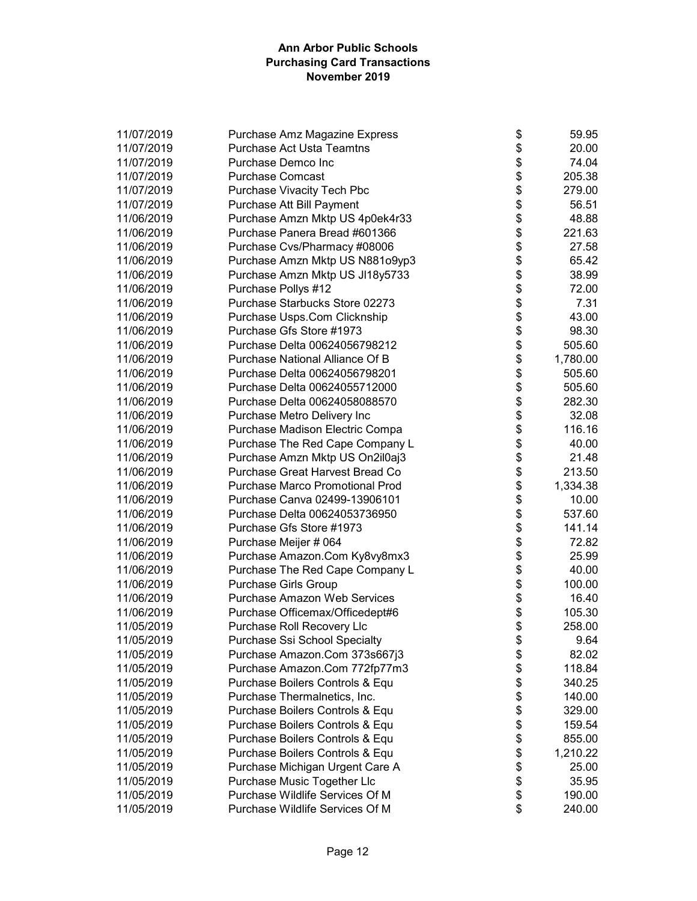| 11/07/2019 | Purchase Amz Magazine Express          | \$             | 59.95    |
|------------|----------------------------------------|----------------|----------|
| 11/07/2019 | <b>Purchase Act Usta Teamtns</b>       | \$             | 20.00    |
| 11/07/2019 | Purchase Demco Inc                     | \$             | 74.04    |
| 11/07/2019 | <b>Purchase Comcast</b>                |                | 205.38   |
| 11/07/2019 | Purchase Vivacity Tech Pbc             | \$             | 279.00   |
| 11/07/2019 | Purchase Att Bill Payment              | \$             | 56.51    |
| 11/06/2019 | Purchase Amzn Mktp US 4p0ek4r33        | \$             | 48.88    |
| 11/06/2019 | Purchase Panera Bread #601366          |                | 221.63   |
| 11/06/2019 | Purchase Cvs/Pharmacy #08006           | \$<br>\$       | 27.58    |
| 11/06/2019 | Purchase Amzn Mktp US N881o9yp3        | \$             | 65.42    |
| 11/06/2019 | Purchase Amzn Mktp US JI18y5733        | \$             | 38.99    |
| 11/06/2019 | Purchase Pollys #12                    | \$             | 72.00    |
| 11/06/2019 | Purchase Starbucks Store 02273         | \$             | 7.31     |
| 11/06/2019 | Purchase Usps.Com Clicknship           | \$             | 43.00    |
| 11/06/2019 | Purchase Gfs Store #1973               | \$             | 98.30    |
| 11/06/2019 | Purchase Delta 00624056798212          | \$             | 505.60   |
| 11/06/2019 | Purchase National Alliance Of B        |                | 1,780.00 |
| 11/06/2019 | Purchase Delta 00624056798201          |                | 505.60   |
| 11/06/2019 | Purchase Delta 00624055712000          | \$\$\$         | 505.60   |
| 11/06/2019 | Purchase Delta 00624058088570          |                | 282.30   |
| 11/06/2019 | Purchase Metro Delivery Inc            |                | 32.08    |
| 11/06/2019 | Purchase Madison Electric Compa        | \$             | 116.16   |
| 11/06/2019 | Purchase The Red Cape Company L        | \$             | 40.00    |
| 11/06/2019 | Purchase Amzn Mktp US On2il0aj3        | \$             | 21.48    |
| 11/06/2019 | Purchase Great Harvest Bread Co        |                | 213.50   |
| 11/06/2019 | <b>Purchase Marco Promotional Prod</b> | \$             | 1,334.38 |
| 11/06/2019 | Purchase Canva 02499-13906101          | \$             | 10.00    |
| 11/06/2019 | Purchase Delta 00624053736950          | \$             | 537.60   |
| 11/06/2019 | Purchase Gfs Store #1973               | \$             | 141.14   |
| 11/06/2019 | Purchase Meijer # 064                  | \$             | 72.82    |
| 11/06/2019 | Purchase Amazon.Com Ky8vy8mx3          | \$             | 25.99    |
| 11/06/2019 | Purchase The Red Cape Company L        | \$             | 40.00    |
| 11/06/2019 | Purchase Girls Group                   | \$             | 100.00   |
| 11/06/2019 | <b>Purchase Amazon Web Services</b>    | \$             | 16.40    |
| 11/06/2019 | Purchase Officemax/Officedept#6        | \$             | 105.30   |
| 11/05/2019 | Purchase Roll Recovery Llc             | \$             | 258.00   |
| 11/05/2019 | Purchase Ssi School Specialty          | \$             | 9.64     |
| 11/05/2019 | Purchase Amazon.Com 373s667j3          |                | 82.02    |
| 11/05/2019 | Purchase Amazon.Com 772fp77m3          |                | 118.84   |
| 11/05/2019 | Purchase Boilers Controls & Equ        |                | 340.25   |
| 11/05/2019 | Purchase Thermalnetics, Inc.           | \$\$\$\$\$\$\$ | 140.00   |
| 11/05/2019 | Purchase Boilers Controls & Equ        |                | 329.00   |
| 11/05/2019 | Purchase Boilers Controls & Equ        |                | 159.54   |
| 11/05/2019 | Purchase Boilers Controls & Equ        |                | 855.00   |
| 11/05/2019 | Purchase Boilers Controls & Equ        | \$             | 1,210.22 |
| 11/05/2019 | Purchase Michigan Urgent Care A        | \$             | 25.00    |
| 11/05/2019 | Purchase Music Together Llc            | \$             | 35.95    |
| 11/05/2019 | Purchase Wildlife Services Of M        | \$             | 190.00   |
| 11/05/2019 | Purchase Wildlife Services Of M        | \$             | 240.00   |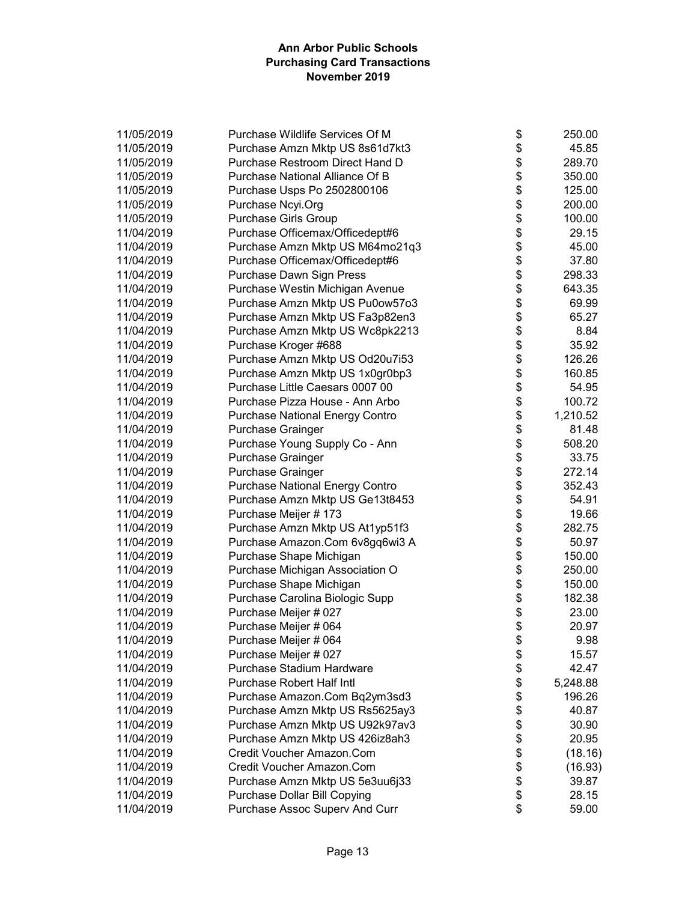| 11/05/2019 | Purchase Wildlife Services Of M        | \$       | 250.00   |
|------------|----------------------------------------|----------|----------|
| 11/05/2019 | Purchase Amzn Mktp US 8s61d7kt3        | \$       | 45.85    |
| 11/05/2019 | Purchase Restroom Direct Hand D        | \$       | 289.70   |
| 11/05/2019 | Purchase National Alliance Of B        | \$       | 350.00   |
| 11/05/2019 | Purchase Usps Po 2502800106            | \$       | 125.00   |
| 11/05/2019 | Purchase Ncyi.Org                      | \$       | 200.00   |
| 11/05/2019 | <b>Purchase Girls Group</b>            | \$       | 100.00   |
| 11/04/2019 | Purchase Officemax/Officedept#6        | \$       | 29.15    |
| 11/04/2019 | Purchase Amzn Mktp US M64mo21q3        | \$       | 45.00    |
| 11/04/2019 | Purchase Officemax/Officedept#6        | \$       | 37.80    |
| 11/04/2019 | Purchase Dawn Sign Press               | \$       | 298.33   |
| 11/04/2019 | Purchase Westin Michigan Avenue        | \$       | 643.35   |
| 11/04/2019 | Purchase Amzn Mktp US Pu0ow57o3        | \$       | 69.99    |
| 11/04/2019 | Purchase Amzn Mktp US Fa3p82en3        | \$       | 65.27    |
| 11/04/2019 | Purchase Amzn Mktp US Wc8pk2213        | \$       | 8.84     |
| 11/04/2019 | Purchase Kroger #688                   | \$       | 35.92    |
| 11/04/2019 | Purchase Amzn Mktp US Od20u7i53        | \$       | 126.26   |
| 11/04/2019 | Purchase Amzn Mktp US 1x0gr0bp3        | \$       | 160.85   |
| 11/04/2019 | Purchase Little Caesars 0007 00        | \$       | 54.95    |
| 11/04/2019 | Purchase Pizza House - Ann Arbo        | \$       | 100.72   |
| 11/04/2019 | <b>Purchase National Energy Contro</b> | \$       | 1,210.52 |
| 11/04/2019 | <b>Purchase Grainger</b>               | \$       | 81.48    |
| 11/04/2019 | Purchase Young Supply Co - Ann         | \$       | 508.20   |
| 11/04/2019 | Purchase Grainger                      | \$       | 33.75    |
| 11/04/2019 | Purchase Grainger                      | \$       | 272.14   |
| 11/04/2019 | <b>Purchase National Energy Contro</b> | \$       | 352.43   |
| 11/04/2019 | Purchase Amzn Mktp US Ge13t8453        | \$       | 54.91    |
| 11/04/2019 | Purchase Meijer # 173                  | \$       | 19.66    |
| 11/04/2019 | Purchase Amzn Mktp US At1yp51f3        | \$       | 282.75   |
| 11/04/2019 | Purchase Amazon.Com 6v8gq6wi3 A        | \$       | 50.97    |
| 11/04/2019 | Purchase Shape Michigan                | \$       | 150.00   |
| 11/04/2019 | Purchase Michigan Association O        | \$       | 250.00   |
| 11/04/2019 | Purchase Shape Michigan                | \$       | 150.00   |
| 11/04/2019 | Purchase Carolina Biologic Supp        | \$       | 182.38   |
| 11/04/2019 | Purchase Meijer # 027                  | \$       | 23.00    |
| 11/04/2019 | Purchase Meijer # 064                  | \$       | 20.97    |
| 11/04/2019 | Purchase Meijer # 064                  | \$       | 9.98     |
| 11/04/2019 | Purchase Meijer # 027                  | \$       | 15.57    |
| 11/04/2019 | Purchase Stadium Hardware              | \$       | 42.47    |
| 11/04/2019 | Purchase Robert Half Intl              | \$       | 5,248.88 |
| 11/04/2019 | Purchase Amazon.Com Bq2ym3sd3          | \$       | 196.26   |
| 11/04/2019 | Purchase Amzn Mktp US Rs5625ay3        | \$       | 40.87    |
| 11/04/2019 | Purchase Amzn Mktp US U92k97av3        | \$       | 30.90    |
| 11/04/2019 | Purchase Amzn Mktp US 426iz8ah3        | \$       | 20.95    |
| 11/04/2019 | Credit Voucher Amazon.Com              | \$       | (18.16)  |
| 11/04/2019 | Credit Voucher Amazon.Com              | \$       | (16.93)  |
| 11/04/2019 | Purchase Amzn Mktp US 5e3uu6j33        | \$       | 39.87    |
| 11/04/2019 | Purchase Dollar Bill Copying           | \$<br>\$ | 28.15    |
| 11/04/2019 | Purchase Assoc Superv And Curr         |          | 59.00    |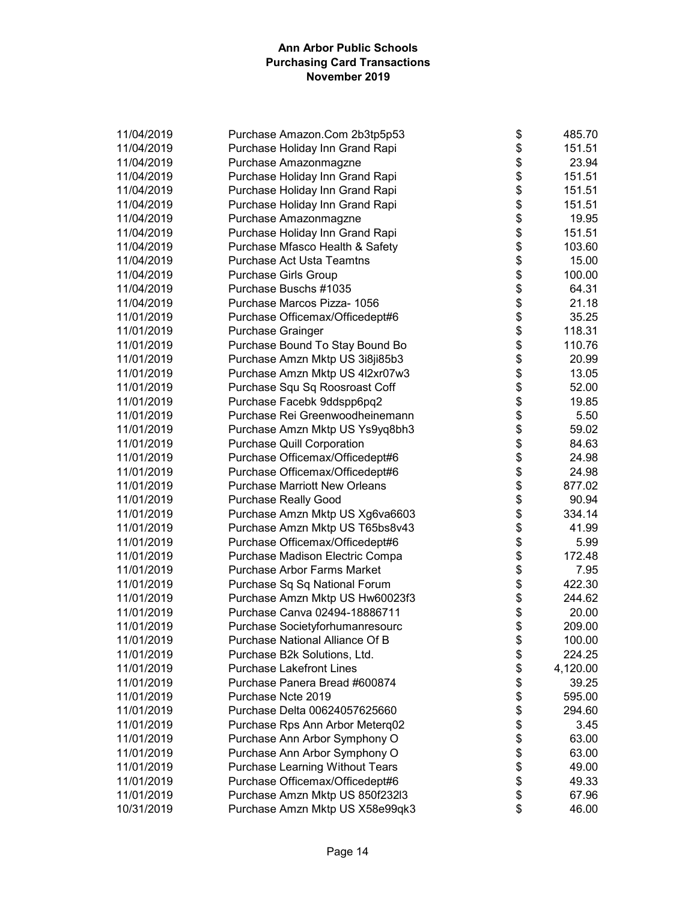| 11/04/2019 | Purchase Amazon.Com 2b3tp5p53          | \$                | 485.70   |
|------------|----------------------------------------|-------------------|----------|
| 11/04/2019 | Purchase Holiday Inn Grand Rapi        | \$                | 151.51   |
| 11/04/2019 | Purchase Amazonmagzne                  |                   | 23.94    |
| 11/04/2019 | Purchase Holiday Inn Grand Rapi        | \$                | 151.51   |
| 11/04/2019 | Purchase Holiday Inn Grand Rapi        |                   | 151.51   |
| 11/04/2019 | Purchase Holiday Inn Grand Rapi        |                   | 151.51   |
| 11/04/2019 | Purchase Amazonmagzne                  |                   | 19.95    |
| 11/04/2019 | Purchase Holiday Inn Grand Rapi        | \$\$\$\$\$\$      | 151.51   |
| 11/04/2019 | Purchase Mfasco Health & Safety        |                   | 103.60   |
| 11/04/2019 | <b>Purchase Act Usta Teamtns</b>       |                   | 15.00    |
| 11/04/2019 | Purchase Girls Group                   | \$                | 100.00   |
| 11/04/2019 | Purchase Buschs #1035                  | \$                | 64.31    |
| 11/04/2019 | Purchase Marcos Pizza- 1056            | \$                | 21.18    |
| 11/01/2019 | Purchase Officemax/Officedept#6        | \$                | 35.25    |
| 11/01/2019 | <b>Purchase Grainger</b>               | \$                | 118.31   |
| 11/01/2019 | Purchase Bound To Stay Bound Bo        | \$                | 110.76   |
| 11/01/2019 | Purchase Amzn Mktp US 3i8ji85b3        |                   | 20.99    |
| 11/01/2019 | Purchase Amzn Mktp US 4l2xr07w3        |                   | 13.05    |
| 11/01/2019 | Purchase Squ Sq Roosroast Coff         |                   | 52.00    |
| 11/01/2019 | Purchase Facebk 9ddspp6pq2             |                   | 19.85    |
| 11/01/2019 | Purchase Rei Greenwoodheinemann        | <b>8888888888</b> | 5.50     |
| 11/01/2019 | Purchase Amzn Mktp US Ys9yq8bh3        |                   | 59.02    |
| 11/01/2019 | <b>Purchase Quill Corporation</b>      |                   | 84.63    |
| 11/01/2019 | Purchase Officemax/Officedept#6        |                   | 24.98    |
| 11/01/2019 | Purchase Officemax/Officedept#6        |                   | 24.98    |
| 11/01/2019 | <b>Purchase Marriott New Orleans</b>   |                   | 877.02   |
| 11/01/2019 | <b>Purchase Really Good</b>            |                   | 90.94    |
| 11/01/2019 | Purchase Amzn Mktp US Xg6va6603        | \$                | 334.14   |
| 11/01/2019 | Purchase Amzn Mktp US T65bs8v43        | \$                | 41.99    |
| 11/01/2019 | Purchase Officemax/Officedept#6        | \$                | 5.99     |
| 11/01/2019 | Purchase Madison Electric Compa        | \$                | 172.48   |
| 11/01/2019 | <b>Purchase Arbor Farms Market</b>     | \$                | 7.95     |
| 11/01/2019 | Purchase Sq Sq National Forum          | \$                | 422.30   |
| 11/01/2019 | Purchase Amzn Mktp US Hw60023f3        | \$                | 244.62   |
| 11/01/2019 | Purchase Canva 02494-18886711          |                   | 20.00    |
| 11/01/2019 | Purchase Societyforhumanresourc        | \$                | 209.00   |
| 11/01/2019 | Purchase National Alliance Of B        | \$                | 100.00   |
| 11/01/2019 | Purchase B2k Solutions, Ltd.           | \$<br>\$          | 224.25   |
| 11/01/2019 | <b>Purchase Lakefront Lines</b>        |                   | 4,120.00 |
| 11/01/2019 | Purchase Panera Bread #600874          |                   | 39.25    |
| 11/01/2019 | Purchase Ncte 2019                     |                   | 595.00   |
| 11/01/2019 | Purchase Delta 00624057625660          |                   | 294.60   |
| 11/01/2019 | Purchase Rps Ann Arbor Meterq02        |                   | 3.45     |
| 11/01/2019 | Purchase Ann Arbor Symphony O          |                   | 63.00    |
| 11/01/2019 | Purchase Ann Arbor Symphony O          | \$\$\$\$\$\$\$\$  | 63.00    |
| 11/01/2019 | <b>Purchase Learning Without Tears</b> |                   | 49.00    |
| 11/01/2019 | Purchase Officemax/Officedept#6        | \$                | 49.33    |
| 11/01/2019 | Purchase Amzn Mktp US 850f232l3        | \$                | 67.96    |
| 10/31/2019 | Purchase Amzn Mktp US X58e99qk3        | \$                | 46.00    |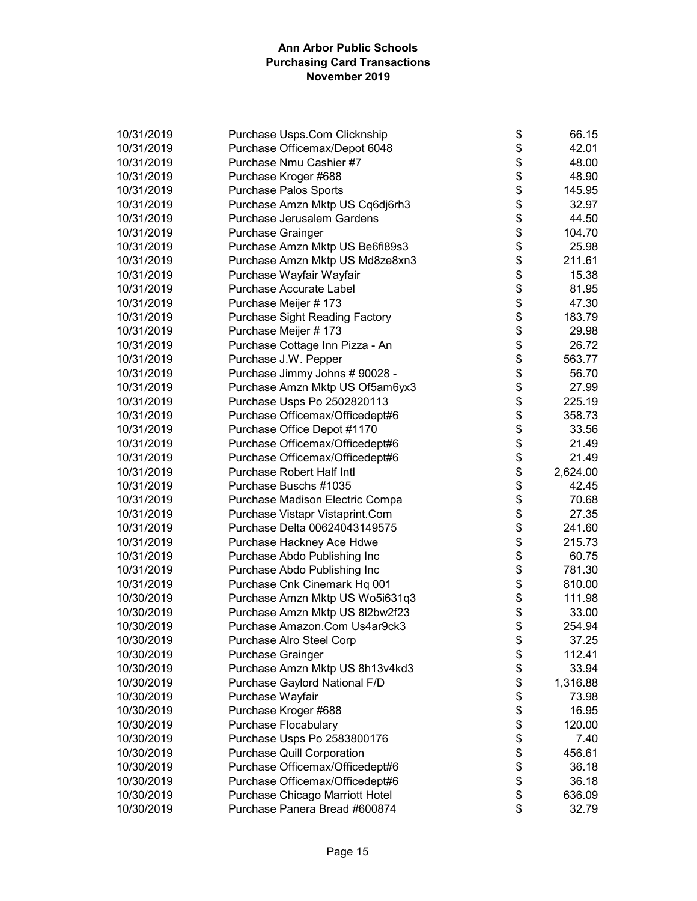| 10/31/2019 | Purchase Usps.Com Clicknship          | \$             | 66.15    |
|------------|---------------------------------------|----------------|----------|
| 10/31/2019 | Purchase Officemax/Depot 6048         | \$             | 42.01    |
| 10/31/2019 | Purchase Nmu Cashier #7               |                | 48.00    |
| 10/31/2019 | Purchase Kroger #688                  | \$             | 48.90    |
| 10/31/2019 | <b>Purchase Palos Sports</b>          |                | 145.95   |
| 10/31/2019 | Purchase Amzn Mktp US Cq6dj6rh3       | <b>8888888</b> | 32.97    |
| 10/31/2019 | <b>Purchase Jerusalem Gardens</b>     |                | 44.50    |
| 10/31/2019 | <b>Purchase Grainger</b>              |                | 104.70   |
| 10/31/2019 | Purchase Amzn Mktp US Be6fi89s3       |                | 25.98    |
| 10/31/2019 | Purchase Amzn Mktp US Md8ze8xn3       |                | 211.61   |
| 10/31/2019 | Purchase Wayfair Wayfair              |                | 15.38    |
| 10/31/2019 | Purchase Accurate Label               |                | 81.95    |
| 10/31/2019 | Purchase Meijer # 173                 | \$             | 47.30    |
| 10/31/2019 | <b>Purchase Sight Reading Factory</b> | \$             | 183.79   |
| 10/31/2019 | Purchase Meijer # 173                 | \$             | 29.98    |
| 10/31/2019 | Purchase Cottage Inn Pizza - An       | \$             | 26.72    |
| 10/31/2019 | Purchase J.W. Pepper                  | \$             | 563.77   |
| 10/31/2019 | Purchase Jimmy Johns # 90028 -        | \$             | 56.70    |
| 10/31/2019 | Purchase Amzn Mktp US Of5am6yx3       | <b>888888</b>  | 27.99    |
| 10/31/2019 | Purchase Usps Po 2502820113           |                | 225.19   |
| 10/31/2019 | Purchase Officemax/Officedept#6       |                | 358.73   |
| 10/31/2019 | Purchase Office Depot #1170           |                | 33.56    |
| 10/31/2019 | Purchase Officemax/Officedept#6       |                | 21.49    |
| 10/31/2019 | Purchase Officemax/Officedept#6       |                | 21.49    |
| 10/31/2019 | <b>Purchase Robert Half Intl.</b>     | \$             | 2,624.00 |
| 10/31/2019 | Purchase Buschs #1035                 | \$\$           | 42.45    |
| 10/31/2019 | Purchase Madison Electric Compa       |                | 70.68    |
| 10/31/2019 | Purchase Vistapr Vistaprint.Com       |                | 27.35    |
| 10/31/2019 | Purchase Delta 00624043149575         | \$             | 241.60   |
| 10/31/2019 | Purchase Hackney Ace Hdwe             | \$             | 215.73   |
| 10/31/2019 | Purchase Abdo Publishing Inc          | \$             | 60.75    |
| 10/31/2019 | Purchase Abdo Publishing Inc          | \$             | 781.30   |
| 10/31/2019 | Purchase Cnk Cinemark Hq 001          | \$             | 810.00   |
| 10/30/2019 | Purchase Amzn Mktp US Wo5i631q3       | \$             | 111.98   |
| 10/30/2019 | Purchase Amzn Mktp US 8l2bw2f23       | \$             | 33.00    |
| 10/30/2019 | Purchase Amazon.Com Us4ar9ck3         | \$             | 254.94   |
| 10/30/2019 | Purchase Alro Steel Corp              | \$             | 37.25    |
| 10/30/2019 | <b>Purchase Grainger</b>              | \$             | 112.41   |
| 10/30/2019 | Purchase Amzn Mktp US 8h13v4kd3       | \$             | 33.94    |
| 10/30/2019 | Purchase Gaylord National F/D         | \$             | 1,316.88 |
| 10/30/2019 | Purchase Wayfair                      | \$             | 73.98    |
| 10/30/2019 | Purchase Kroger #688                  | \$\$           | 16.95    |
| 10/30/2019 | Purchase Flocabulary                  |                | 120.00   |
| 10/30/2019 | Purchase Usps Po 2583800176           |                | 7.40     |
| 10/30/2019 | Purchase Quill Corporation            | \$             | 456.61   |
| 10/30/2019 | Purchase Officemax/Officedept#6       | \$             | 36.18    |
| 10/30/2019 | Purchase Officemax/Officedept#6       | \$             | 36.18    |
| 10/30/2019 | Purchase Chicago Marriott Hotel       | \$             | 636.09   |
| 10/30/2019 | Purchase Panera Bread #600874         | \$             | 32.79    |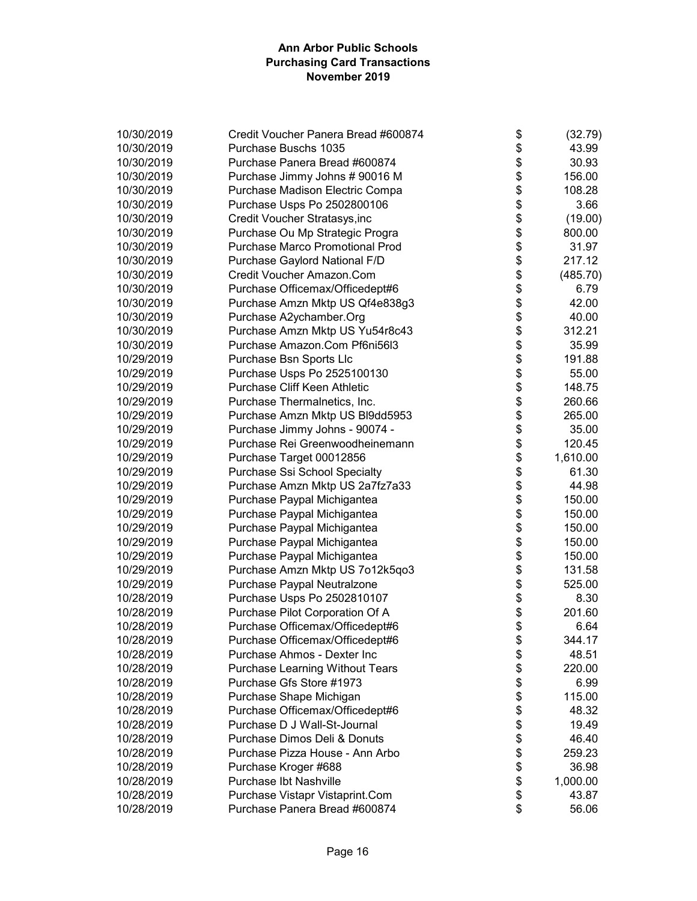| 10/30/2019 | Credit Voucher Panera Bread #600874    | \$       | (32.79)  |
|------------|----------------------------------------|----------|----------|
| 10/30/2019 | Purchase Buschs 1035                   | \$       | 43.99    |
| 10/30/2019 | Purchase Panera Bread #600874          | \$       | 30.93    |
| 10/30/2019 | Purchase Jimmy Johns # 90016 M         | \$       | 156.00   |
| 10/30/2019 | Purchase Madison Electric Compa        | \$       | 108.28   |
| 10/30/2019 | Purchase Usps Po 2502800106            |          | 3.66     |
| 10/30/2019 | Credit Voucher Stratasys, inc          | \$<br>\$ | (19.00)  |
| 10/30/2019 | Purchase Ou Mp Strategic Progra        |          | 800.00   |
| 10/30/2019 | Purchase Marco Promotional Prod        | \$       | 31.97    |
| 10/30/2019 | Purchase Gaylord National F/D          | \$       | 217.12   |
| 10/30/2019 | Credit Voucher Amazon.Com              | \$       | (485.70) |
| 10/30/2019 | Purchase Officemax/Officedept#6        |          | 6.79     |
| 10/30/2019 | Purchase Amzn Mktp US Qf4e838g3        | \$       | 42.00    |
| 10/30/2019 | Purchase A2ychamber.Org                | \$       | 40.00    |
| 10/30/2019 | Purchase Amzn Mktp US Yu54r8c43        | \$       | 312.21   |
| 10/30/2019 | Purchase Amazon.Com Pf6ni56l3          | \$       | 35.99    |
| 10/29/2019 | Purchase Bsn Sports Llc                | \$       | 191.88   |
| 10/29/2019 | Purchase Usps Po 2525100130            | \$       | 55.00    |
| 10/29/2019 | Purchase Cliff Keen Athletic           | \$       | 148.75   |
| 10/29/2019 | Purchase Thermalnetics, Inc.           | \$       | 260.66   |
| 10/29/2019 | Purchase Amzn Mktp US Bl9dd5953        | \$       | 265.00   |
| 10/29/2019 | Purchase Jimmy Johns - 90074 -         | \$\$     | 35.00    |
| 10/29/2019 | Purchase Rei Greenwoodheinemann        |          | 120.45   |
| 10/29/2019 | Purchase Target 00012856               |          | 1,610.00 |
| 10/29/2019 | Purchase Ssi School Specialty          | \$       | 61.30    |
| 10/29/2019 | Purchase Amzn Mktp US 2a7fz7a33        | \$       | 44.98    |
| 10/29/2019 | Purchase Paypal Michigantea            | \$       | 150.00   |
| 10/29/2019 | Purchase Paypal Michigantea            | \$       | 150.00   |
| 10/29/2019 | Purchase Paypal Michigantea            |          | 150.00   |
| 10/29/2019 | Purchase Paypal Michigantea            | \$       | 150.00   |
| 10/29/2019 | Purchase Paypal Michigantea            | \$       | 150.00   |
| 10/29/2019 | Purchase Amzn Mktp US 7o12k5qo3        | \$       | 131.58   |
| 10/29/2019 | Purchase Paypal Neutralzone            | \$       | 525.00   |
| 10/28/2019 | Purchase Usps Po 2502810107            | \$       | 8.30     |
| 10/28/2019 | Purchase Pilot Corporation Of A        | \$       | 201.60   |
| 10/28/2019 | Purchase Officemax/Officedept#6        | \$       | 6.64     |
| 10/28/2019 | Purchase Officemax/Officedept#6        | Φ        | 344.17   |
| 10/28/2019 | Purchase Ahmos - Dexter Inc            | \$       | 48.51    |
| 10/28/2019 | <b>Purchase Learning Without Tears</b> |          | 220.00   |
| 10/28/2019 | Purchase Gfs Store #1973               | \$\$     | 6.99     |
| 10/28/2019 | Purchase Shape Michigan                |          | 115.00   |
| 10/28/2019 | Purchase Officemax/Officedept#6        | \$<br>\$ | 48.32    |
| 10/28/2019 | Purchase D J Wall-St-Journal           |          | 19.49    |
| 10/28/2019 | Purchase Dimos Deli & Donuts           | \$       | 46.40    |
| 10/28/2019 | Purchase Pizza House - Ann Arbo        | \$       | 259.23   |
| 10/28/2019 | Purchase Kroger #688                   | \$       | 36.98    |
| 10/28/2019 | Purchase Ibt Nashville                 | \$       | 1,000.00 |
| 10/28/2019 | Purchase Vistapr Vistaprint.Com        | \$       | 43.87    |
| 10/28/2019 | Purchase Panera Bread #600874          | \$       | 56.06    |